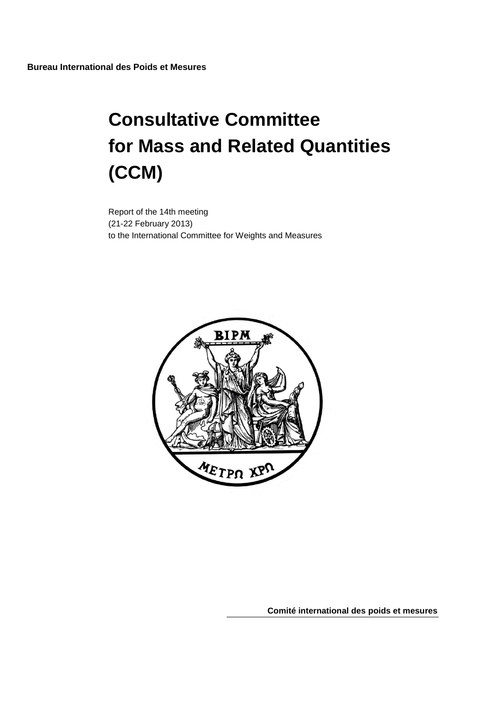# **Consultative Committee for Mass and Related Quantities (CCM)**

Report of the 14th meeting (21-22 February 2013) to the International Committee for Weights and Measures



**Comité international des poids et mesures**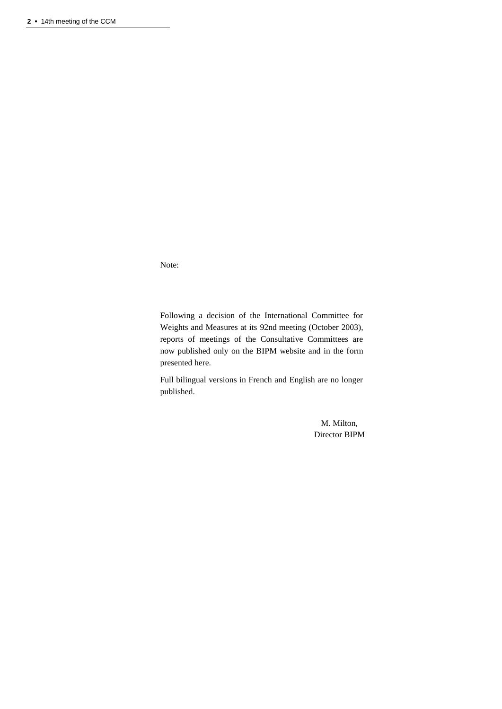Note:

Following a decision of the International Committee for Weights and Measures at its 92nd meeting (October 2003), reports of meetings of the Consultative Committees are now published only on the BIPM website and in the form presented here.

Full bilingual versions in French and English are no longer published.

> M. Milton, Director BIPM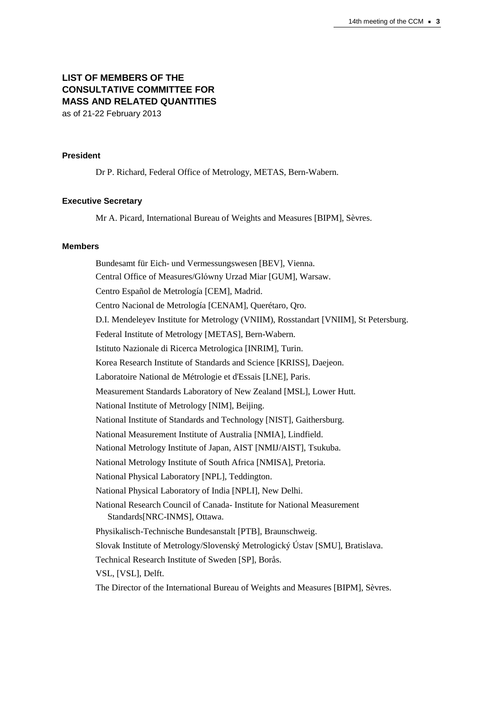## **LIST OF MEMBERS OF THE CONSULTATIVE COMMITTEE FOR MASS AND RELATED QUANTITIES** as of 21-22 February 2013

#### **President**

Dr P. Richard, Federal Office of Metrology, METAS, Bern-Wabern.

#### **Executive Secretary**

Mr A. Picard, International Bureau of Weights and Measures [BIPM], Sèvres.

#### **Members**

Bundesamt für Eich- und Vermessungswesen [BEV], Vienna. Central Office of Measures/Glόwny Urzad Miar [GUM], Warsaw. Centro Español de Metrología [CEM], Madrid. Centro Nacional de Metrología [CENAM], Querétaro, Qro. D.I. Mendeleyev Institute for Metrology (VNIIM), Rosstandart [VNIIM], St Petersburg. Federal Institute of Metrology [METAS], Bern-Wabern. Istituto Nazionale di Ricerca Metrologica [INRIM], Turin. Korea Research Institute of Standards and Science [KRISS], Daejeon. Laboratoire National de Métrologie et d'Essais [LNE], Paris. Measurement Standards Laboratory of New Zealand [MSL], Lower Hutt. National Institute of Metrology [NIM], Beijing. National Institute of Standards and Technology [NIST], Gaithersburg. National Measurement Institute of Australia [NMIA], Lindfield. National Metrology Institute of Japan, AIST [NMIJ/AIST], Tsukuba. National Metrology Institute of South Africa [NMISA], Pretoria. National Physical Laboratory [NPL], Teddington. National Physical Laboratory of India [NPLI], New Delhi. National Research Council of Canada- Institute for National Measurement Standards[NRC-INMS], Ottawa. Physikalisch-Technische Bundesanstalt [PTB], Braunschweig. Slovak Institute of Metrology/Slovenský Metrologický Ústav [SMU], Bratislava. Technical Research Institute of Sweden [SP], Borås. VSL, [VSL], Delft. The Director of the International Bureau of Weights and Measures [BIPM], Sèvres.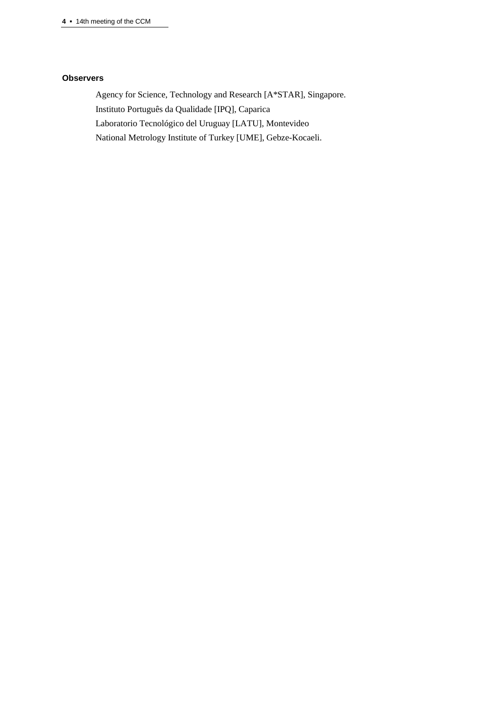#### **Observers**

Agency for Science, Technology and Research [A\*STAR], Singapore. Instituto Português da Qualidade [IPQ], Caparica Laboratorio Tecnológico del Uruguay [LATU], Montevideo National Metrology Institute of Turkey [UME], Gebze-Kocaeli.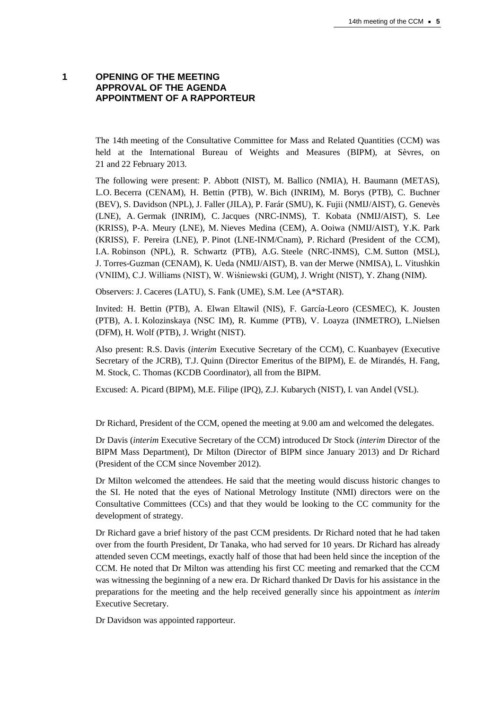#### **1 OPENING OF THE MEETING APPROVAL OF THE AGENDA APPOINTMENT OF A RAPPORTEUR**

The 14th meeting of the Consultative Committee for Mass and Related Quantities (CCM) was held at the International Bureau of Weights and Measures (BIPM), at Sèvres, on 21 and 22 February 2013.

The following were present: P. Abbott (NIST), M. Ballico (NMIA), H. Baumann (METAS), L.O. Becerra (CENAM), H. Bettin (PTB), W. Bich (INRIM), M. Borys (PTB), C. Buchner (BEV), S. Davidson (NPL), J. Faller (JILA), P. Farár (SMU), K. Fujii (NMIJ/AIST), G. Genevès (LNE), A. Germak (INRIM), C. Jacques (NRC-INMS), T. Kobata (NMIJ/AIST), S. Lee (KRISS), P-A. Meury (LNE), M. Nieves Medina (CEM), A. Ooiwa (NMIJ/AIST), Y.K. Park (KRISS), F. Pereira (LNE), P. Pinot (LNE-INM/Cnam), P. Richard (President of the CCM), I.A. Robinson (NPL), R. Schwartz (PTB), A.G. Steele (NRC-INMS), C.M. Sutton (MSL), J. Torres-Guzman (CENAM), K. Ueda (NMIJ/AIST), B. van der Merwe (NMISA), L. Vitushkin (VNIIM), C.J. Williams (NIST), W. Wiśniewski (GUM), J. Wright (NIST), Y. Zhang (NIM).

Observers: J. Caceres (LATU), S. Fank (UME), S.M. Lee (A\*STAR).

Invited: H. Bettin (PTB), A. Elwan Eltawil (NIS), F. García-Leoro (CESMEC), K. Jousten (PTB), A. I. Kolozinskaya (NSC IM), R. Kumme (PTB), V. Loayza (INMETRO), L.Nielsen (DFM), H. Wolf (PTB), J. Wright (NIST).

Also present: R.S. Davis (*interim* Executive Secretary of the CCM), C. Kuanbayev (Executive Secretary of the JCRB), T.J. Quinn (Director Emeritus of the BIPM), E. de Mirandés, H. Fang, M. Stock, C. Thomas (KCDB Coordinator), all from the BIPM.

Excused: A. Picard (BIPM), M.E. Filipe (IPQ), Z.J. Kubarych (NIST), I. van Andel (VSL).

Dr Richard, President of the CCM, opened the meeting at 9.00 am and welcomed the delegates.

Dr Davis (*interim* Executive Secretary of the CCM) introduced Dr Stock (*interim* Director of the BIPM Mass Department), Dr Milton (Director of BIPM since January 2013) and Dr Richard (President of the CCM since November 2012).

Dr Milton welcomed the attendees. He said that the meeting would discuss historic changes to the SI. He noted that the eyes of National Metrology Institute (NMI) directors were on the Consultative Committees (CCs) and that they would be looking to the CC community for the development of strategy.

Dr Richard gave a brief history of the past CCM presidents. Dr Richard noted that he had taken over from the fourth President, Dr Tanaka, who had served for 10 years. Dr Richard has already attended seven CCM meetings, exactly half of those that had been held since the inception of the CCM. He noted that Dr Milton was attending his first CC meeting and remarked that the CCM was witnessing the beginning of a new era. Dr Richard thanked Dr Davis for his assistance in the preparations for the meeting and the help received generally since his appointment as *interim* Executive Secretary.

Dr Davidson was appointed rapporteur.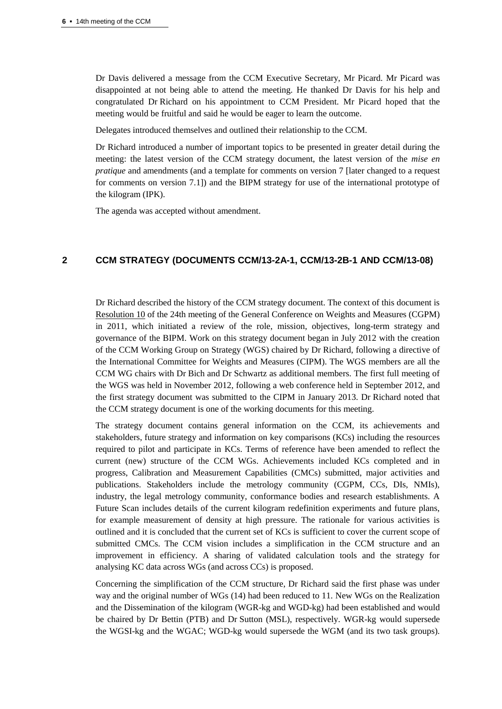Dr Davis delivered a message from the CCM Executive Secretary, Mr Picard. Mr Picard was disappointed at not being able to attend the meeting. He thanked Dr Davis for his help and congratulated Dr Richard on his appointment to CCM President. Mr Picard hoped that the meeting would be fruitful and said he would be eager to learn the outcome.

Delegates introduced themselves and outlined their relationship to the CCM.

Dr Richard introduced a number of important topics to be presented in greater detail during the meeting: the latest version of the CCM strategy document, the latest version of the *mise en pratique* and amendments (and a template for comments on version 7 [later changed to a request for comments on version 7.1]) and the BIPM strategy for use of the international prototype of the kilogram (IPK).

The agenda was accepted without amendment.

## **2 CCM STRATEGY (DOCUMENTS CCM/13-2A-1, CCM/13-2B-1 AND CCM/13-08)**

Dr Richard described the history of the CCM strategy document. The context of this document is [Resolution](http://www.bipm.org/en/CGPM/db/24/10/) 10 of the 24th meeting of the General Conference on Weights and Measures (CGPM) in 2011, which initiated a review of the role, mission, objectives, long-term strategy and governance of the BIPM. Work on this strategy document began in July 2012 with the creation of the CCM Working Group on Strategy (WGS) chaired by Dr Richard, following a directive of the International Committee for Weights and Measures (CIPM). The WGS members are all the CCM WG chairs with Dr Bich and Dr Schwartz as additional members. The first full meeting of the WGS was held in November 2012, following a web conference held in September 2012, and the first strategy document was submitted to the CIPM in January 2013. Dr Richard noted that the CCM strategy document is one of the working documents for this meeting.

The strategy document contains general information on the CCM, its achievements and stakeholders, future strategy and information on key comparisons (KCs) including the resources required to pilot and participate in KCs. Terms of reference have been amended to reflect the current (new) structure of the CCM WGs. Achievements included KCs completed and in progress, Calibration and Measurement Capabilities (CMCs) submitted, major activities and publications. Stakeholders include the metrology community (CGPM, CCs, DIs, NMIs), industry, the legal metrology community, conformance bodies and research establishments. A Future Scan includes details of the current kilogram redefinition experiments and future plans, for example measurement of density at high pressure. The rationale for various activities is outlined and it is concluded that the current set of KCs is sufficient to cover the current scope of submitted CMCs. The CCM vision includes a simplification in the CCM structure and an improvement in efficiency. A sharing of validated calculation tools and the strategy for analysing KC data across WGs (and across CCs) is proposed.

Concerning the simplification of the CCM structure, Dr Richard said the first phase was under way and the original number of WGs (14) had been reduced to 11. New WGs on the Realization and the Dissemination of the kilogram (WGR-kg and WGD-kg) had been established and would be chaired by Dr Bettin (PTB) and Dr Sutton (MSL), respectively. WGR-kg would supersede the WGSI-kg and the WGAC; WGD-kg would supersede the WGM (and its two task groups).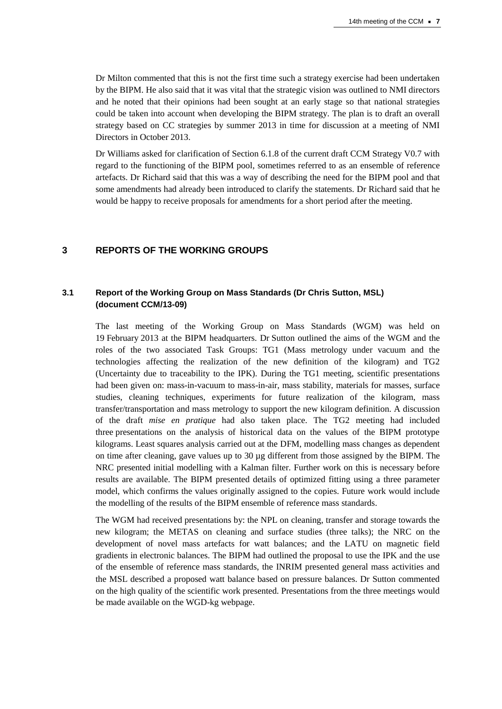Dr Milton commented that this is not the first time such a strategy exercise had been undertaken by the BIPM. He also said that it was vital that the strategic vision was outlined to NMI directors and he noted that their opinions had been sought at an early stage so that national strategies could be taken into account when developing the BIPM strategy. The plan is to draft an overall strategy based on CC strategies by summer 2013 in time for discussion at a meeting of NMI Directors in October 2013.

Dr Williams asked for clarification of Section 6.1.8 of the current draft CCM Strategy V0.7 with regard to the functioning of the BIPM pool, sometimes referred to as an ensemble of reference artefacts. Dr Richard said that this was a way of describing the need for the BIPM pool and that some amendments had already been introduced to clarify the statements. Dr Richard said that he would be happy to receive proposals for amendments for a short period after the meeting.

#### **3 REPORTS OF THE WORKING GROUPS**

## **3.1 Report of the Working Group on Mass Standards (Dr Chris Sutton, MSL) (document CCM/13-09)**

The last meeting of the Working Group on Mass Standards (WGM) was held on 19 February 2013 at the BIPM headquarters. Dr Sutton outlined the aims of the WGM and the roles of the two associated Task Groups: TG1 (Mass metrology under vacuum and the technologies affecting the realization of the new definition of the kilogram) and TG2 (Uncertainty due to traceability to the IPK). During the TG1 meeting, scientific presentations had been given on: mass-in-vacuum to mass-in-air, mass stability, materials for masses, surface studies, cleaning techniques, experiments for future realization of the kilogram, mass transfer/transportation and mass metrology to support the new kilogram definition. A discussion of the draft *mise en pratique* had also taken place. The TG2 meeting had included three presentations on the analysis of historical data on the values of the BIPM prototype kilograms. Least squares analysis carried out at the DFM, modelling mass changes as dependent on time after cleaning, gave values up to 30 µg different from those assigned by the BIPM. The NRC presented initial modelling with a Kalman filter. Further work on this is necessary before results are available. The BIPM presented details of optimized fitting using a three parameter model, which confirms the values originally assigned to the copies. Future work would include the modelling of the results of the BIPM ensemble of reference mass standards.

The WGM had received presentations by: the NPL on cleaning, transfer and storage towards the new kilogram; the METAS on cleaning and surface studies (three talks); the NRC on the development of novel mass artefacts for watt balances; and the LATU on magnetic field gradients in electronic balances. The BIPM had outlined the proposal to use the IPK and the use of the ensemble of reference mass standards, the INRIM presented general mass activities and the MSL described a proposed watt balance based on pressure balances. Dr Sutton commented on the high quality of the scientific work presented. Presentations from the three meetings would be made available on the WGD-kg webpage.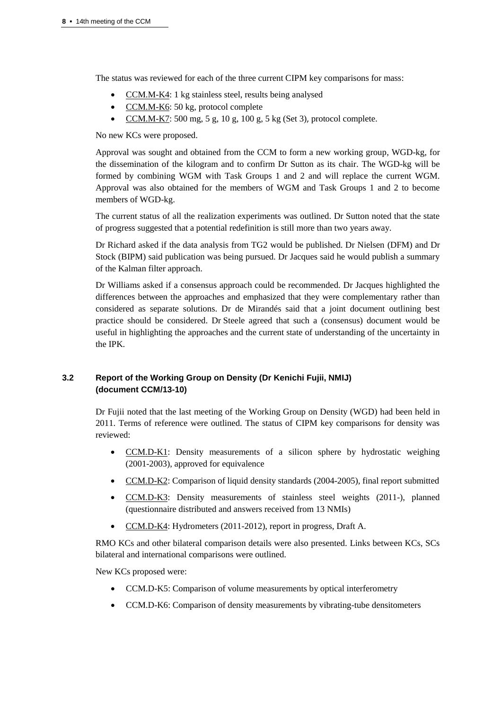The status was reviewed for each of the three current CIPM key comparisons for mass:

- [CCM.M-K4:](http://kcdb.bipm.org/appendixB/KCDB_ApB_info.asp?cmp_idy=403&cmp_cod=CCM.M-K4&prov=exalead) 1 kg stainless steel, results being analysed
- [CCM.M-K6:](http://kcdb.bipm.org/appendixB/KCDB_ApB_info.asp?cmp_idy=906&cmp_cod=CCM.M-K6&prov=exalead) 50 kg, protocol complete
- [CCM.M-K7:](http://kcdb.bipm.org/appendixB/KCDB_ApB_info.asp?cmp_idy=1134&cmp_cod=CCM.M-K7&prov=exalead) 500 mg, 5 g, 10 g, 100 g, 5 kg (Set 3), protocol complete.

No new KCs were proposed.

Approval was sought and obtained from the CCM to form a new working group, WGD-kg, for the dissemination of the kilogram and to confirm Dr Sutton as its chair. The WGD-kg will be formed by combining WGM with Task Groups 1 and 2 and will replace the current WGM. Approval was also obtained for the members of WGM and Task Groups 1 and 2 to become members of WGD-kg.

The current status of all the realization experiments was outlined. Dr Sutton noted that the state of progress suggested that a potential redefinition is still more than two years away.

Dr Richard asked if the data analysis from TG2 would be published. Dr Nielsen (DFM) and Dr Stock (BIPM) said publication was being pursued. Dr Jacques said he would publish a summary of the Kalman filter approach.

Dr Williams asked if a consensus approach could be recommended. Dr Jacques highlighted the differences between the approaches and emphasized that they were complementary rather than considered as separate solutions. Dr de Mirandés said that a joint document outlining best practice should be considered. Dr Steele agreed that such a (consensus) document would be useful in highlighting the approaches and the current state of understanding of the uncertainty in the IPK.

## **3.2 Report of the Working Group on Density (Dr Kenichi Fujii, NMIJ) (document CCM/13-10)**

Dr Fujii noted that the last meeting of the Working Group on Density (WGD) had been held in 2011. Terms of reference were outlined. The status of CIPM key comparisons for density was reviewed:

- [CCM.D-K1:](http://kcdb.bipm.org/appendixB/KCDB_ApB_info.asp?cmp_idy=258&cmp_cod=CCM.D-K1&prov=exalead) Density measurements of a silicon sphere by hydrostatic weighing (2001-2003), approved for equivalence
- [CCM.D-K2:](http://kcdb.bipm.org/appendixB/KCDB_ApB_info.asp?cmp_idy=274&cmp_cod=CCM.D-K2&prov=exalead) Comparison of liquid density standards (2004-2005), final report submitted
- [CCM.D-K3:](http://www.bipm.org/exalead_kcdb/exa_kcdb.jsp?_p=AppB&_q=CCM.D-K3&x=9&y=12) Density measurements of stainless steel weights (2011-), planned (questionnaire distributed and answers received from 13 NMIs)
- [CCM.D-K4:](http://kcdb.bipm.org/appendixB/KCDB_ApB_info.asp?cmp_idy=277&cmp_cod=CCM.D-K4&prov=exalead) Hydrometers (2011-2012), report in progress, Draft A.

RMO KCs and other bilateral comparison details were also presented. Links between KCs, SCs bilateral and international comparisons were outlined.

New KCs proposed were:

- CCM.D-K5: Comparison of volume measurements by optical interferometry
- CCM.D-K6: Comparison of density measurements by vibrating-tube densitometers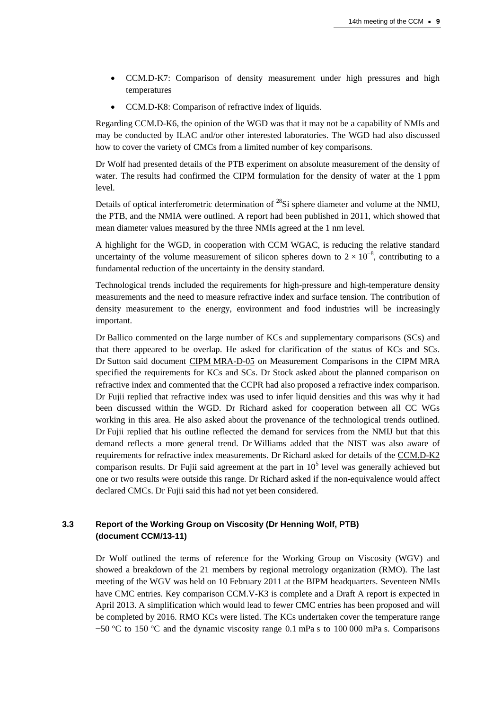- CCM.D-K7: Comparison of density measurement under high pressures and high temperatures
- CCM.D-K8: Comparison of refractive index of liquids.

Regarding CCM.D-K6, the opinion of the WGD was that it may not be a capability of NMIs and may be conducted by ILAC and/or other interested laboratories. The WGD had also discussed how to cover the variety of CMCs from a limited number of key comparisons.

Dr Wolf had presented details of the PTB experiment on absolute measurement of the density of water. The results had confirmed the CIPM formulation for the density of water at the 1 ppm level.

Details of optical interferometric determination of <sup>28</sup>Si sphere diameter and volume at the NMIJ, the PTB, and the NMIA were outlined. A report had been published in 2011, which showed that mean diameter values measured by the three NMIs agreed at the 1 nm level.

A highlight for the WGD, in cooperation with CCM WGAC, is reducing the relative standard uncertainty of the volume measurement of silicon spheres down to  $2 \times 10^{-8}$ , contributing to a fundamental reduction of the uncertainty in the density standard.

Technological trends included the requirements for high-pressure and high-temperature density measurements and the need to measure refractive index and surface tension. The contribution of density measurement to the energy, environment and food industries will be increasingly important.

Dr Ballico commented on the large number of KCs and supplementary comparisons (SCs) and that there appeared to be overlap. He asked for clarification of the status of KCs and SCs. Dr Sutton said document CIPM [MRA-D-05](http://www.bipm.org/utils/common/CIPM_MRA/CIPM_MRA-D-05.pdf) on Measurement Comparisons in the CIPM MRA specified the requirements for KCs and SCs. Dr Stock asked about the planned comparison on refractive index and commented that the CCPR had also proposed a refractive index comparison. Dr Fujii replied that refractive index was used to infer liquid densities and this was why it had been discussed within the WGD. Dr Richard asked for cooperation between all CC WGs working in this area. He also asked about the provenance of the technological trends outlined. Dr Fujii replied that his outline reflected the demand for services from the NMIJ but that this demand reflects a more general trend. Dr Williams added that the NIST was also aware of requirements for refractive index measurements. Dr Richard asked for details of the [CCM.D-K2](http://kcdb.bipm.org/appendixB/KCDB_ApB_info.asp?cmp_idy=274&cmp_cod=CCM.D-K2&prov=exalead) comparison results. Dr Fujii said agreement at the part in  $10<sup>5</sup>$  level was generally achieved but one or two results were outside this range. Dr Richard asked if the non-equivalence would affect declared CMCs. Dr Fujii said this had not yet been considered.

## **3.3 Report of the Working Group on Viscosity (Dr Henning Wolf, PTB) (document CCM/13-11)**

Dr Wolf outlined the terms of reference for the Working Group on Viscosity (WGV) and showed a breakdown of the 21 members by regional metrology organization (RMO). The last meeting of the WGV was held on 10 February 2011 at the BIPM headquarters. Seventeen NMIs have CMC entries. Key comparison CCM.V-K3 is complete and a Draft A report is expected in April 2013. A simplification which would lead to fewer CMC entries has been proposed and will be completed by 2016. RMO KCs were listed. The KCs undertaken cover the temperature range −50 °C to 150 °C and the dynamic viscosity range 0.1 mPa s to 100 000 mPa s. Comparisons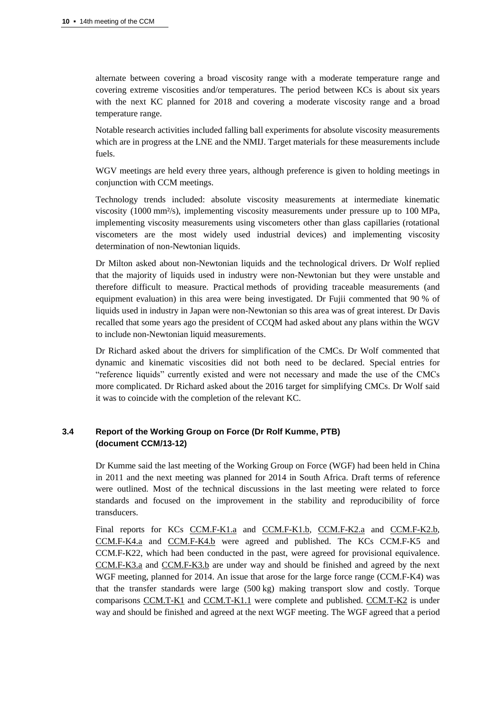alternate between covering a broad viscosity range with a moderate temperature range and covering extreme viscosities and/or temperatures. The period between KCs is about six years with the next KC planned for 2018 and covering a moderate viscosity range and a broad temperature range.

Notable research activities included falling ball experiments for absolute viscosity measurements which are in progress at the LNE and the NMIJ. Target materials for these measurements include fuels.

WGV meetings are held every three years, although preference is given to holding meetings in conjunction with CCM meetings.

Technology trends included: absolute viscosity measurements at intermediate kinematic viscosity (1000 mm²/s), implementing viscosity measurements under pressure up to 100 MPa, implementing viscosity measurements using viscometers other than glass capillaries (rotational viscometers are the most widely used industrial devices) and implementing viscosity determination of non-Newtonian liquids.

Dr Milton asked about non-Newtonian liquids and the technological drivers. Dr Wolf replied that the majority of liquids used in industry were non-Newtonian but they were unstable and therefore difficult to measure. Practical methods of providing traceable measurements (and equipment evaluation) in this area were being investigated. Dr Fujii commented that 90 % of liquids used in industry in Japan were non-Newtonian so this area was of great interest. Dr Davis recalled that some years ago the president of CCQM had asked about any plans within the WGV to include non-Newtonian liquid measurements.

Dr Richard asked about the drivers for simplification of the CMCs. Dr Wolf commented that dynamic and kinematic viscosities did not both need to be declared. Special entries for "reference liquids" currently existed and were not necessary and made the use of the CMCs more complicated. Dr Richard asked about the 2016 target for simplifying CMCs. Dr Wolf said it was to coincide with the completion of the relevant KC.

#### **3.4 Report of the Working Group on Force (Dr Rolf Kumme, PTB) (document CCM/13-12)**

Dr Kumme said the last meeting of the Working Group on Force (WGF) had been held in China in 2011 and the next meeting was planned for 2014 in South Africa. Draft terms of reference were outlined. Most of the technical discussions in the last meeting were related to force standards and focused on the improvement in the stability and reproducibility of force transducers.

Final reports for KCs [CCM.F-K1.a](http://kcdb.bipm.org/appendixB/KCDB_ApB_info.asp?cmp_idy=287&cmp_cod=CCM.F-K1.a&prov=exalead) and [CCM.F-K1.b,](http://kcdb.bipm.org/appendixB/KCDB_ApB_info.asp?cmp_idy=290&cmp_cod=CCM.F-K1.b&prov=exalead) [CCM.F-K2.a](http://kcdb.bipm.org/appendixB/KCDB_ApB_info.asp?cmp_idy=293&cmp_cod=CCM.F-K2.a&prov=exalead) and [CCM.F-K2.b,](http://kcdb.bipm.org/appendixB/KCDB_ApB_info.asp?cmp_idy=294&cmp_cod=CCM.F-K2.b&prov=exalead) [CCM.F-K4.a](http://kcdb.bipm.org/appendixB/KCDB_ApB_info.asp?cmp_idy=303&cmp_cod=CCM.F-K4.a&prov=exalead) and [CCM.F-K4.b](http://kcdb.bipm.org/appendixB/KCDB_ApB_info.asp?cmp_idy=304&cmp_cod=CCM.F-K4.b&prov=exalead) were agreed and published. The KCs CCM.F-K5 and CCM.F-K22, which had been conducted in the past, were agreed for provisional equivalence. [CCM.F-K3.a](http://kcdb.bipm.org/appendixB/KCDB_ApB_info.asp?cmp_idy=296&cmp_cod=CCM.F-K3.a&prov=exalead) and [CCM.F-K3.b](http://kcdb.bipm.org/appendixB/KCDB_ApB_info.asp?cmp_idy=300&cmp_cod=CCM.F-K3.b&prov=exalead) are under way and should be finished and agreed by the next WGF meeting, planned for 2014. An issue that arose for the large force range (CCM.F-K4) was that the transfer standards were large (500 kg) making transport slow and costly. Torque comparisons [CCM.T-K1](http://kcdb.bipm.org/appendixB/KCDB_ApB_info.asp?cmp_idy=704&cmp_cod=CCM.T-K1&prov=exalead) and [CCM.T-K1.1](http://kcdb.bipm.org/appendixB/KCDB_ApB_info.asp?cmp_idy=883&cmp_cod=CCM.T-K1.1&prov=exalead) were complete and published. [CCM.T-K2](http://kcdb.bipm.org/appendixB/KCDB_ApB_info.asp?cmp_idy=705&cmp_cod=CCM.T-K2&prov=exalead) is under way and should be finished and agreed at the next WGF meeting. The WGF agreed that a period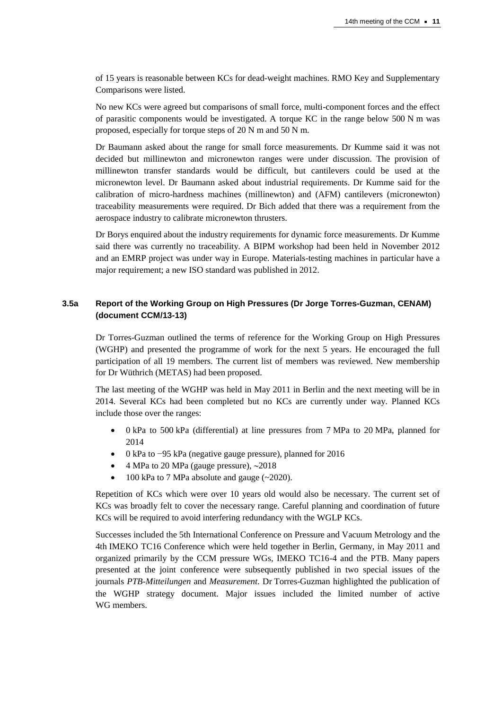of 15 years is reasonable between KCs for dead-weight machines. RMO Key and Supplementary Comparisons were listed.

No new KCs were agreed but comparisons of small force, multi-component forces and the effect of parasitic components would be investigated. A torque KC in the range below 500 N m was proposed, especially for torque steps of 20 N m and 50 N m.

Dr Baumann asked about the range for small force measurements. Dr Kumme said it was not decided but millinewton and micronewton ranges were under discussion. The provision of millinewton transfer standards would be difficult, but cantilevers could be used at the micronewton level. Dr Baumann asked about industrial requirements. Dr Kumme said for the calibration of micro-hardness machines (millinewton) and (AFM) cantilevers (micronewton) traceability measurements were required. Dr Bich added that there was a requirement from the aerospace industry to calibrate micronewton thrusters.

Dr Borys enquired about the industry requirements for dynamic force measurements. Dr Kumme said there was currently no traceability. A BIPM workshop had been held in November 2012 and an EMRP project was under way in Europe. Materials-testing machines in particular have a major requirement; a new ISO standard was published in 2012.

#### **3.5a Report of the Working Group on High Pressures (Dr Jorge Torres-Guzman, CENAM) (document CCM/13-13)**

Dr Torres-Guzman outlined the terms of reference for the Working Group on High Pressures (WGHP) and presented the programme of work for the next 5 years. He encouraged the full participation of all 19 members. The current list of members was reviewed. New membership for Dr Wüthrich (METAS) had been proposed.

The last meeting of the WGHP was held in May 2011 in Berlin and the next meeting will be in 2014. Several KCs had been completed but no KCs are currently under way. Planned KCs include those over the ranges:

- 0 kPa to 500 kPa (differential) at line pressures from 7 MPa to 20 MPa, planned for 2014
- 0 kPa to −95 kPa (negative gauge pressure), planned for 2016
- 4 MPa to 20 MPa (gauge pressure),  $\sim$ 2018
- $\bullet$  100 kPa to 7 MPa absolute and gauge (~2020).

Repetition of KCs which were over 10 years old would also be necessary. The current set of KCs was broadly felt to cover the necessary range. Careful planning and coordination of future KCs will be required to avoid interfering redundancy with the WGLP KCs.

Successes included the 5th International Conference on Pressure and Vacuum Metrology and the 4th IMEKO TC16 Conference which were held together in Berlin, Germany, in May 2011 and organized primarily by the CCM pressure WGs, IMEKO TC16-4 and the PTB. Many papers presented at the joint conference were subsequently published in two special issues of the journals *PTB-Mitteilungen* and *Measurement*. Dr Torres-Guzman highlighted the publication of the WGHP strategy document. Major issues included the limited number of active WG members.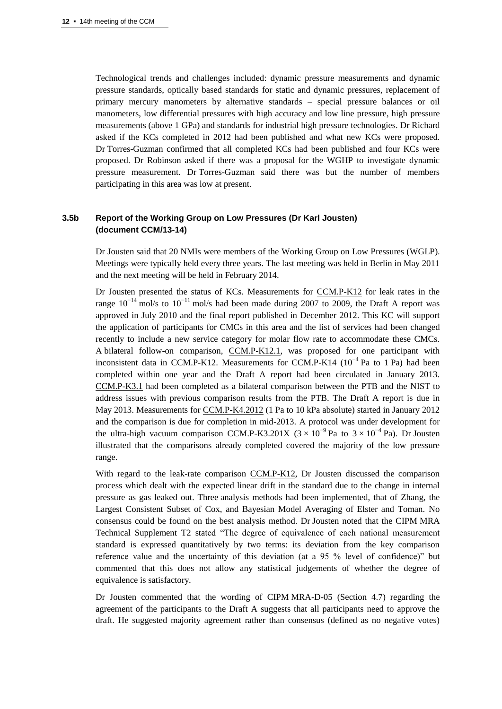Technological trends and challenges included: dynamic pressure measurements and dynamic pressure standards, optically based standards for static and dynamic pressures, replacement of primary mercury manometers by alternative standards – special pressure balances or oil manometers, low differential pressures with high accuracy and low line pressure, high pressure measurements (above 1 GPa) and standards for industrial high pressure technologies. Dr Richard asked if the KCs completed in 2012 had been published and what new KCs were proposed. Dr Torres-Guzman confirmed that all completed KCs had been published and four KCs were proposed. Dr Robinson asked if there was a proposal for the WGHP to investigate dynamic pressure measurement. Dr Torres-Guzman said there was but the number of members participating in this area was low at present.

## **3.5b Report of the Working Group on Low Pressures (Dr Karl Jousten) (document CCM/13-14)**

Dr Jousten said that 20 NMIs were members of the Working Group on Low Pressures (WGLP). Meetings were typically held every three years. The last meeting was held in Berlin in May 2011 and the next meeting will be held in February 2014.

Dr Jousten presented the status of KCs. Measurements for [CCM.P-K12](http://kcdb.bipm.org/appendixB/KCDB_ApB_info.asp?cmp_idy=796&cmp_cod=CCM.P-K12&prov=exalead) for leak rates in the range  $10^{-14}$  mol/s to  $10^{-11}$  mol/s had been made during 2007 to 2009, the Draft A report was approved in July 2010 and the final report published in December 2012. This KC will support the application of participants for CMCs in this area and the list of services had been changed recently to include a new service category for molar flow rate to accommodate these CMCs. A bilateral follow-on comparison, [CCM.P-K12.1,](http://kcdb.bipm.org/appendixB/KCDB_ApB_info.asp?cmp_idy=1230&cmp_cod=CCM.P-K12.1&prov=exalead) was proposed for one participant with inconsistent data in [CCM.P-K12.](http://kcdb.bipm.org/appendixB/KCDB_ApB_info.asp?cmp_idy=796&cmp_cod=CCM.P-K12&prov=exalead) Measurements for [CCM.P-K14](http://kcdb.bipm.org/appendixB/KCDB_ApB_info.asp?cmp_idy=1012&cmp_cod=CCM.P-K14&prov=exalead) ( $10^{-4}$  Pa to 1 Pa) had been completed within one year and the Draft A report had been circulated in January 2013. [CCM.P-K3.1](http://kcdb.bipm.org/appendixB/KCDB_ApB_info.asp?cmp_idy=995&cmp_cod=CCM.P-K3.1&prov=exalead) had been completed as a bilateral comparison between the PTB and the NIST to address issues with previous comparison results from the PTB. The Draft A report is due in May 2013. Measurements for [CCM.P-K4.2012](http://kcdb.bipm.org/appendixB/KCDB_ApB_info.asp?cmp_idy=1207&cmp_cod=CCM.P-K4.2012&prov=exalead) (1 Pa to 10 kPa absolute) started in January 2012 and the comparison is due for completion in mid-2013. A protocol was under development for the ultra-high vacuum comparison CCM.P-K3.201X ( $3 \times 10^{-9}$  Pa to  $3 \times 10^{-4}$  Pa). Dr Jousten illustrated that the comparisons already completed covered the majority of the low pressure range.

With regard to the leak-rate comparison [CCM.P-K12,](http://kcdb.bipm.org/appendixB/KCDB_ApB_info.asp?cmp_idy=796&cmp_cod=CCM.P-K12&prov=exalead) Dr Jousten discussed the comparison process which dealt with the expected linear drift in the standard due to the change in internal pressure as gas leaked out. Three analysis methods had been implemented, that of Zhang, the Largest Consistent Subset of Cox, and Bayesian Model Averaging of Elster and Toman. No consensus could be found on the best analysis method. Dr Jousten noted that the CIPM MRA Technical Supplement T2 stated "The degree of equivalence of each national measurement standard is expressed quantitatively by two terms: its deviation from the key comparison reference value and the uncertainty of this deviation (at a 95 % level of confidence)" but commented that this does not allow any statistical judgements of whether the degree of equivalence is satisfactory.

Dr Jousten commented that the wording of CIPM [MRA-D-05](http://www.bipm.org/utils/common/CIPM_MRA/CIPM_MRA-D-05.pdf) (Section 4.7) regarding the agreement of the participants to the Draft A suggests that all participants need to approve the draft. He suggested majority agreement rather than consensus (defined as no negative votes)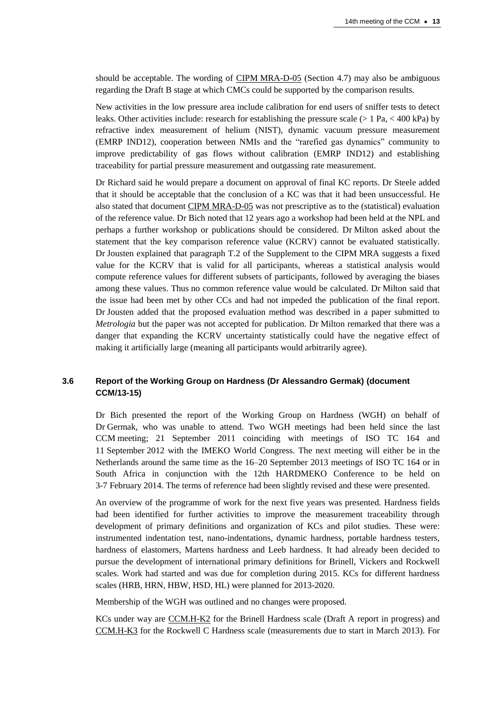should be acceptable. The wording of CIPM [MRA-D-05](http://www.bipm.org/utils/common/CIPM_MRA/CIPM_MRA-D-05.pdf) (Section 4.7) may also be ambiguous regarding the Draft B stage at which CMCs could be supported by the comparison results.

New activities in the low pressure area include calibration for end users of sniffer tests to detect leaks. Other activities include: research for establishing the pressure scale ( $> 1$  Pa,  $<$  400 kPa) by refractive index measurement of helium (NIST), dynamic vacuum pressure measurement (EMRP IND12), cooperation between NMIs and the "rarefied gas dynamics" community to improve predictability of gas flows without calibration (EMRP IND12) and establishing traceability for partial pressure measurement and outgassing rate measurement.

Dr Richard said he would prepare a document on approval of final KC reports. Dr Steele added that it should be acceptable that the conclusion of a KC was that it had been unsuccessful. He also stated that document CIPM [MRA-D-05](http://www.bipm.org/utils/common/CIPM_MRA/CIPM_MRA-D-05.pdf) was not prescriptive as to the (statistical) evaluation of the reference value. Dr Bich noted that 12 years ago a workshop had been held at the NPL and perhaps a further workshop or publications should be considered. Dr Milton asked about the statement that the key comparison reference value (KCRV) cannot be evaluated statistically. Dr Jousten explained that paragraph T.2 of the Supplement to the CIPM MRA suggests a fixed value for the KCRV that is valid for all participants, whereas a statistical analysis would compute reference values for different subsets of participants, followed by averaging the biases among these values. Thus no common reference value would be calculated. Dr Milton said that the issue had been met by other CCs and had not impeded the publication of the final report. Dr Jousten added that the proposed evaluation method was described in a paper submitted to *Metrologia* but the paper was not accepted for publication. Dr Milton remarked that there was a danger that expanding the KCRV uncertainty statistically could have the negative effect of making it artificially large (meaning all participants would arbitrarily agree).

## **3.6 Report of the Working Group on Hardness (Dr Alessandro Germak) (document CCM/13-15)**

Dr Bich presented the report of the Working Group on Hardness (WGH) on behalf of Dr Germak, who was unable to attend. Two WGH meetings had been held since the last CCM meeting; 21 September 2011 coinciding with meetings of ISO TC 164 and 11 September 2012 with the IMEKO World Congress. The next meeting will either be in the Netherlands around the same time as the 16–20 September 2013 meetings of ISO TC 164 or in South Africa in conjunction with the 12th HARDMEKO Conference to be held on 3-7 February 2014. The terms of reference had been slightly revised and these were presented.

An overview of the programme of work for the next five years was presented. Hardness fields had been identified for further activities to improve the measurement traceability through development of primary definitions and organization of KCs and pilot studies. These were: instrumented indentation test, nano-indentations, dynamic hardness, portable hardness testers, hardness of elastomers, Martens hardness and Leeb hardness. It had already been decided to pursue the development of international primary definitions for Brinell, Vickers and Rockwell scales. Work had started and was due for completion during 2015. KCs for different hardness scales (HRB, HRN, HBW, HSD, HL) were planned for 2013-2020.

Membership of the WGH was outlined and no changes were proposed.

KCs under way are [CCM.H-K2](http://kcdb.bipm.org/appendixB/KCDB_ApB_info.asp?cmp_idy=393&cmp_cod=CCM.H-K2&prov=exalead) for the Brinell Hardness scale (Draft A report in progress) and [CCM.H-K3](http://kcdb.bipm.org/appendixB/KCDB_ApB_info.asp?cmp_idy=1124&cmp_cod=CCM.H-K3&prov=exalead) for the Rockwell C Hardness scale (measurements due to start in March 2013). For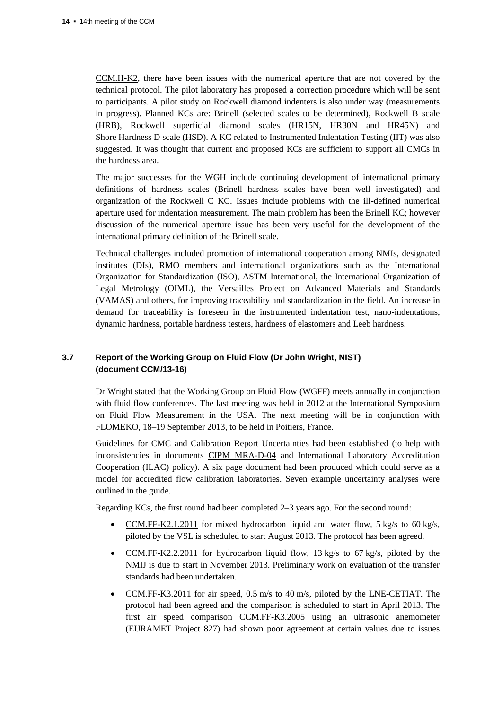[CCM.H-K2,](http://kcdb.bipm.org/appendixB/KCDB_ApB_info.asp?cmp_idy=393&cmp_cod=CCM.H-K2&prov=exalead) there have been issues with the numerical aperture that are not covered by the technical protocol. The pilot laboratory has proposed a correction procedure which will be sent to participants. A pilot study on Rockwell diamond indenters is also under way (measurements in progress). Planned KCs are: Brinell (selected scales to be determined), Rockwell B scale (HRB), Rockwell superficial diamond scales (HR15N, HR30N and HR45N) and Shore Hardness D scale (HSD). A KC related to Instrumented Indentation Testing (IIT) was also suggested. It was thought that current and proposed KCs are sufficient to support all CMCs in the hardness area.

The major successes for the WGH include continuing development of international primary definitions of hardness scales (Brinell hardness scales have been well investigated) and organization of the Rockwell C KC. Issues include problems with the ill-defined numerical aperture used for indentation measurement. The main problem has been the Brinell KC; however discussion of the numerical aperture issue has been very useful for the development of the international primary definition of the Brinell scale.

Technical challenges included promotion of international cooperation among NMIs, designated institutes (DIs), RMO members and international organizations such as the International Organization for Standardization (ISO), ASTM International, the International Organization of Legal Metrology (OIML), the Versailles Project on Advanced Materials and Standards (VAMAS) and others, for improving traceability and standardization in the field. An increase in demand for traceability is foreseen in the instrumented indentation test, nano-indentations, dynamic hardness, portable hardness testers, hardness of elastomers and Leeb hardness.

## **3.7 Report of the Working Group on Fluid Flow (Dr John Wright, NIST) (document CCM/13-16)**

Dr Wright stated that the Working Group on Fluid Flow (WGFF) meets annually in conjunction with fluid flow conferences. The last meeting was held in 2012 at the International Symposium on Fluid Flow Measurement in the USA. The next meeting will be in conjunction with FLOMEKO, 18–19 September 2013, to be held in Poitiers, France.

Guidelines for CMC and Calibration Report Uncertainties had been established (to help with inconsistencies in documents [CIPM MRA-D-04](http://www.bipm.org/utils/common/CIPM_MRA/CIPM_MRA-D-04.pdf) and International Laboratory Accreditation Cooperation (ILAC) policy). A six page document had been produced which could serve as a model for accredited flow calibration laboratories. Seven example uncertainty analyses were outlined in the guide.

Regarding KCs, the first round had been completed 2–3 years ago. For the second round:

- [CCM.FF-K2.1.2011](http://kcdb.bipm.org/appendixB/KCDB_ApB_info.asp?cmp_idy=1127&cmp_cod=CCM.FF-K2.1.2011&prov=exalead) for mixed hydrocarbon liquid and water flow, 5 kg/s to 60 kg/s, piloted by the VSL is scheduled to start August 2013. The protocol has been agreed.
- CCM.FF-K2.2.2011 for hydrocarbon liquid flow, 13 kg/s to 67 kg/s, piloted by the NMIJ is due to start in November 2013. Preliminary work on evaluation of the transfer standards had been undertaken.
- CCM.FF-K3.2011 for air speed, 0.5 m/s to 40 m/s, piloted by the LNE-CETIAT. The protocol had been agreed and the comparison is scheduled to start in April 2013. The first air speed comparison CCM.FF-K3.2005 using an ultrasonic anemometer (EURAMET Project 827) had shown poor agreement at certain values due to issues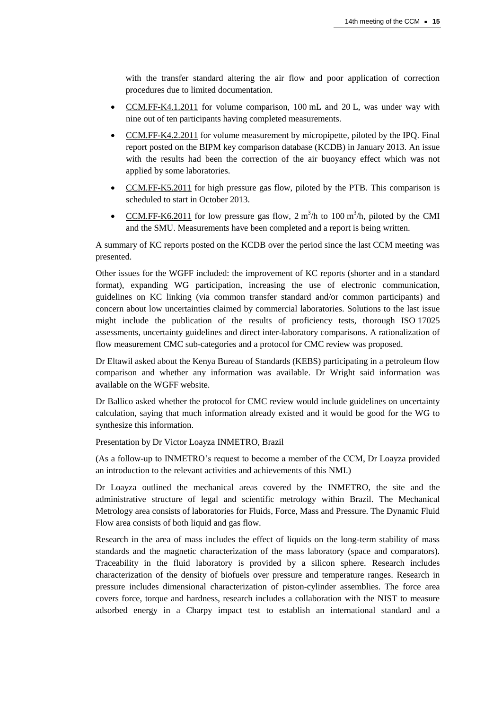with the transfer standard altering the air flow and poor application of correction procedures due to limited documentation.

- [CCM.FF-K4.1.2011](http://kcdb.bipm.org/appendixB/KCDB_ApB_info.asp?cmp_idy=1129&cmp_cod=CCM.FF-K4.1.2011&prov=exalead) for volume comparison, 100 mL and 20 L, was under way with nine out of ten participants having completed measurements.
- [CCM.FF-K4.2.2011](http://kcdb.bipm.org/appendixB/KCDB_ApB_info.asp?cmp_idy=1130&cmp_cod=CCM.FF-K4.2.2011&prov=exalead) for volume measurement by micropipette, piloted by the IPQ. Final report posted on the BIPM key comparison database (KCDB) in January 2013. An issue with the results had been the correction of the air buoyancy effect which was not applied by some laboratories.
- [CCM.FF-K5.2011](http://kcdb.bipm.org/appendixB/KCDB_ApB_info.asp?cmp_idy=1131&cmp_cod=CCM.FF-K5.2011&prov=exalead) for high pressure gas flow, piloted by the PTB. This comparison is scheduled to start in October 2013.
- [CCM.FF-K6.2011](http://kcdb.bipm.org/appendixB/KCDB_ApB_info.asp?cmp_idy=1132&cmp_cod=CCM.FF-K6.2011&prov=exalead) for low pressure gas flow,  $2 \text{ m}^3/\text{h}$  to 100 m<sup>3</sup>/h, piloted by the CMI and the SMU. Measurements have been completed and a report is being written.

A summary of KC reports posted on the KCDB over the period since the last CCM meeting was presented.

Other issues for the WGFF included: the improvement of KC reports (shorter and in a standard format), expanding WG participation, increasing the use of electronic communication, guidelines on KC linking (via common transfer standard and/or common participants) and concern about low uncertainties claimed by commercial laboratories. Solutions to the last issue might include the publication of the results of proficiency tests, thorough ISO 17025 assessments, uncertainty guidelines and direct inter-laboratory comparisons. A rationalization of flow measurement CMC sub-categories and a protocol for CMC review was proposed.

Dr Eltawil asked about the Kenya Bureau of Standards (KEBS) participating in a petroleum flow comparison and whether any information was available. Dr Wright said information was available on the WGFF website.

Dr Ballico asked whether the protocol for CMC review would include guidelines on uncertainty calculation, saying that much information already existed and it would be good for the WG to synthesize this information.

#### Presentation by Dr Victor Loayza INMETRO, Brazil

(As a follow-up to INMETRO's request to become a member of the CCM, Dr Loayza provided an introduction to the relevant activities and achievements of this NMI.)

Dr Loayza outlined the mechanical areas covered by the INMETRO, the site and the administrative structure of legal and scientific metrology within Brazil. The Mechanical Metrology area consists of laboratories for Fluids, Force, Mass and Pressure. The Dynamic Fluid Flow area consists of both liquid and gas flow.

Research in the area of mass includes the effect of liquids on the long-term stability of mass standards and the magnetic characterization of the mass laboratory (space and comparators). Traceability in the fluid laboratory is provided by a silicon sphere. Research includes characterization of the density of biofuels over pressure and temperature ranges. Research in pressure includes dimensional characterization of piston-cylinder assemblies. The force area covers force, torque and hardness, research includes a collaboration with the NIST to measure adsorbed energy in a Charpy impact test to establish an international standard and a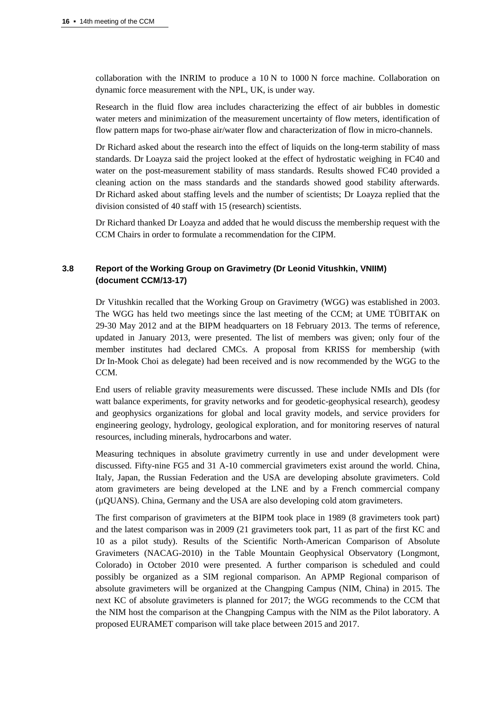collaboration with the INRIM to produce a 10 N to 1000 N force machine. Collaboration on dynamic force measurement with the NPL, UK, is under way.

Research in the fluid flow area includes characterizing the effect of air bubbles in domestic water meters and minimization of the measurement uncertainty of flow meters, identification of flow pattern maps for two-phase air/water flow and characterization of flow in micro-channels.

Dr Richard asked about the research into the effect of liquids on the long-term stability of mass standards. Dr Loayza said the project looked at the effect of hydrostatic weighing in FC40 and water on the post-measurement stability of mass standards. Results showed FC40 provided a cleaning action on the mass standards and the standards showed good stability afterwards. Dr Richard asked about staffing levels and the number of scientists; Dr Loayza replied that the division consisted of 40 staff with 15 (research) scientists.

Dr Richard thanked Dr Loayza and added that he would discuss the membership request with the CCM Chairs in order to formulate a recommendation for the CIPM.

## **3.8 Report of the Working Group on Gravimetry (Dr Leonid Vitushkin, VNIIM) (document CCM/13-17)**

Dr Vitushkin recalled that the Working Group on Gravimetry (WGG) was established in 2003. The WGG has held two meetings since the last meeting of the CCM; at UME TÜBITAK on 29-30 May 2012 and at the BIPM headquarters on 18 February 2013. The terms of reference, updated in January 2013, were presented. The list of members was given; only four of the member institutes had declared CMCs. A proposal from KRISS for membership (with Dr In-Mook Choi as delegate) had been received and is now recommended by the WGG to the CCM.

End users of reliable gravity measurements were discussed. These include NMIs and DIs (for watt balance experiments, for gravity networks and for geodetic-geophysical research), geodesy and geophysics organizations for global and local gravity models, and service providers for engineering geology, hydrology, geological exploration, and for monitoring reserves of natural resources, including minerals, hydrocarbons and water.

Measuring techniques in absolute gravimetry currently in use and under development were discussed. Fifty-nine FG5 and 31 A-10 commercial gravimeters exist around the world. China, Italy, Japan, the Russian Federation and the USA are developing absolute gravimeters. Cold atom gravimeters are being developed at the LNE and by a French commercial company (µQUANS). China, Germany and the USA are also developing cold atom gravimeters.

The first comparison of gravimeters at the BIPM took place in 1989 (8 gravimeters took part) and the latest comparison was in 2009 (21 gravimeters took part, 11 as part of the first KC and 10 as a pilot study). Results of the Scientific North-American Comparison of Absolute Gravimeters (NACAG-2010) in the Table Mountain Geophysical Observatory (Longmont, Colorado) in October 2010 were presented. A further comparison is scheduled and could possibly be organized as a SIM regional comparison. An APMP Regional comparison of absolute gravimeters will be organized at the Changping Campus (NIM, China) in 2015. The next KC of absolute gravimeters is planned for 2017; the WGG recommends to the CCM that the NIM host the comparison at the Changping Campus with the NIM as the Pilot laboratory. A proposed EURAMET comparison will take place between 2015 and 2017.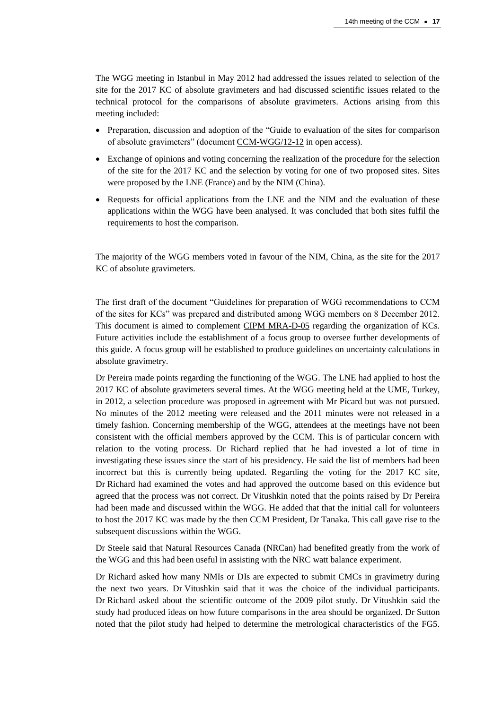The WGG meeting in Istanbul in May 2012 had addressed the issues related to selection of the site for the 2017 KC of absolute gravimeters and had discussed scientific issues related to the technical protocol for the comparisons of absolute gravimeters. Actions arising from this meeting included:

- Preparation, discussion and adoption of the "Guide to evaluation of the sites for comparison of absolute gravimeters" (document [CCM-WGG/12-12](http://www.bipm.org/wg/CCM/CCM-WGG/Allowed/2012/CCMWGG_12_12_Guide_to_evaluation_of_the_sites_for_AG_comparisons.pdf) in open access).
- Exchange of opinions and voting concerning the realization of the procedure for the selection of the site for the 2017 KC and the selection by voting for one of two proposed sites. Sites were proposed by the LNE (France) and by the NIM (China).
- Requests for official applications from the LNE and the NIM and the evaluation of these applications within the WGG have been analysed. It was concluded that both sites fulfil the requirements to host the comparison.

The majority of the WGG members voted in favour of the NIM, China, as the site for the 2017 KC of absolute gravimeters.

The first draft of the document "Guidelines for preparation of WGG recommendations to CCM of the sites for KCs" was prepared and distributed among WGG members on 8 December 2012. This document is aimed to complement CIPM [MRA-D-05](http://www.bipm.org/utils/common/CIPM_MRA/CIPM_MRA-D-05.pdf) regarding the organization of KCs. Future activities include the establishment of a focus group to oversee further developments of this guide. A focus group will be established to produce guidelines on uncertainty calculations in absolute gravimetry.

Dr Pereira made points regarding the functioning of the WGG. The LNE had applied to host the 2017 KC of absolute gravimeters several times. At the WGG meeting held at the UME, Turkey, in 2012, a selection procedure was proposed in agreement with Mr Picard but was not pursued. No minutes of the 2012 meeting were released and the 2011 minutes were not released in a timely fashion. Concerning membership of the WGG, attendees at the meetings have not been consistent with the official members approved by the CCM. This is of particular concern with relation to the voting process. Dr Richard replied that he had invested a lot of time in investigating these issues since the start of his presidency. He said the list of members had been incorrect but this is currently being updated. Regarding the voting for the 2017 KC site, Dr Richard had examined the votes and had approved the outcome based on this evidence but agreed that the process was not correct. Dr Vitushkin noted that the points raised by Dr Pereira had been made and discussed within the WGG. He added that that the initial call for volunteers to host the 2017 KC was made by the then CCM President, Dr Tanaka. This call gave rise to the subsequent discussions within the WGG.

Dr Steele said that Natural Resources Canada (NRCan) had benefited greatly from the work of the WGG and this had been useful in assisting with the NRC watt balance experiment.

Dr Richard asked how many NMIs or DIs are expected to submit CMCs in gravimetry during the next two years. Dr Vitushkin said that it was the choice of the individual participants. Dr Richard asked about the scientific outcome of the 2009 pilot study. Dr Vitushkin said the study had produced ideas on how future comparisons in the area should be organized. Dr Sutton noted that the pilot study had helped to determine the metrological characteristics of the FG5.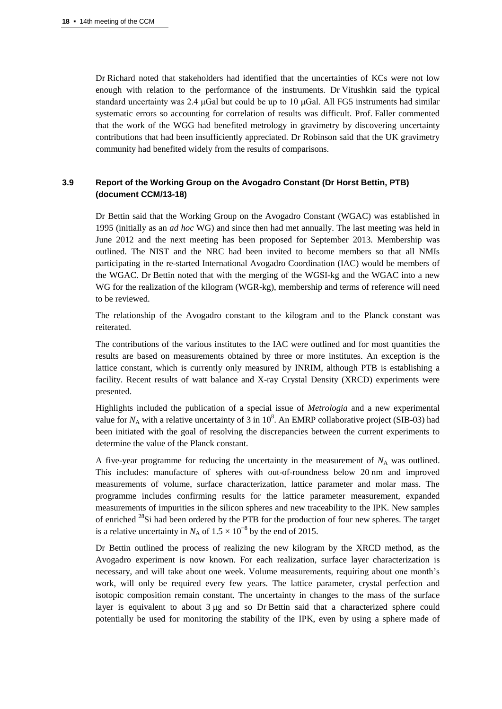Dr Richard noted that stakeholders had identified that the uncertainties of KCs were not low enough with relation to the performance of the instruments. Dr Vitushkin said the typical standard uncertainty was  $2.4 \mu$ Gal but could be up to 10  $\mu$ Gal. All FG5 instruments had similar systematic errors so accounting for correlation of results was difficult. Prof. Faller commented that the work of the WGG had benefited metrology in gravimetry by discovering uncertainty contributions that had been insufficiently appreciated. Dr Robinson said that the UK gravimetry community had benefited widely from the results of comparisons.

#### **3.9 Report of the Working Group on the Avogadro Constant (Dr Horst Bettin, PTB) (document CCM/13-18)**

Dr Bettin said that the Working Group on the Avogadro Constant (WGAC) was established in 1995 (initially as an *ad hoc* WG) and since then had met annually. The last meeting was held in June 2012 and the next meeting has been proposed for September 2013. Membership was outlined. The NIST and the NRC had been invited to become members so that all NMIs participating in the re-started International Avogadro Coordination (IAC) would be members of the WGAC. Dr Bettin noted that with the merging of the WGSI-kg and the WGAC into a new WG for the realization of the kilogram (WGR-kg), membership and terms of reference will need to be reviewed.

The relationship of the Avogadro constant to the kilogram and to the Planck constant was reiterated.

The contributions of the various institutes to the IAC were outlined and for most quantities the results are based on measurements obtained by three or more institutes. An exception is the lattice constant, which is currently only measured by INRIM, although PTB is establishing a facility. Recent results of watt balance and X-ray Crystal Density (XRCD) experiments were presented.

Highlights included the publication of a special issue of *Metrologia* and a new experimental value for  $N_A$  with a relative uncertainty of 3 in  $10^8$ . An EMRP collaborative project (SIB-03) had been initiated with the goal of resolving the discrepancies between the current experiments to determine the value of the Planck constant.

A five-year programme for reducing the uncertainty in the measurement of  $N_A$  was outlined. This includes: manufacture of spheres with out-of-roundness below 20 nm and improved measurements of volume, surface characterization, lattice parameter and molar mass. The programme includes confirming results for the lattice parameter measurement, expanded measurements of impurities in the silicon spheres and new traceability to the IPK. New samples of enriched  $^{28}$ Si had been ordered by the PTB for the production of four new spheres. The target is a relative uncertainty in  $N_A$  of  $1.5 \times 10^{-8}$  by the end of 2015.

Dr Bettin outlined the process of realizing the new kilogram by the XRCD method, as the Avogadro experiment is now known. For each realization, surface layer characterization is necessary, and will take about one week. Volume measurements, requiring about one month's work, will only be required every few years. The lattice parameter, crystal perfection and isotopic composition remain constant. The uncertainty in changes to the mass of the surface layer is equivalent to about 3 μg and so Dr Bettin said that a characterized sphere could potentially be used for monitoring the stability of the IPK, even by using a sphere made of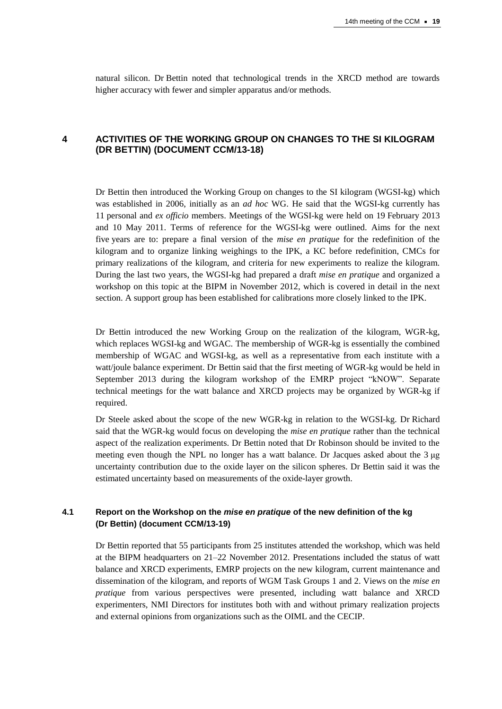natural silicon. Dr Bettin noted that technological trends in the XRCD method are towards higher accuracy with fewer and simpler apparatus and/or methods.

## **4 ACTIVITIES OF THE WORKING GROUP ON CHANGES TO THE SI KILOGRAM (DR BETTIN) (DOCUMENT CCM/13-18)**

Dr Bettin then introduced the Working Group on changes to the SI kilogram (WGSI-kg) which was established in 2006, initially as an *ad hoc* WG. He said that the WGSI-kg currently has 11 personal and *ex officio* members. Meetings of the WGSI-kg were held on 19 February 2013 and 10 May 2011. Terms of reference for the WGSI-kg were outlined. Aims for the next five years are to: prepare a final version of the *mise en pratique* for the redefinition of the kilogram and to organize linking weighings to the IPK, a KC before redefinition, CMCs for primary realizations of the kilogram, and criteria for new experiments to realize the kilogram. During the last two years, the WGSI-kg had prepared a draft *mise en pratique* and organized a workshop on this topic at the BIPM in November 2012, which is covered in detail in the next section. A support group has been established for calibrations more closely linked to the IPK.

Dr Bettin introduced the new Working Group on the realization of the kilogram, WGR-kg, which replaces WGSI-kg and WGAC. The membership of WGR-kg is essentially the combined membership of WGAC and WGSI-kg, as well as a representative from each institute with a watt/joule balance experiment. Dr Bettin said that the first meeting of WGR-kg would be held in September 2013 during the kilogram workshop of the EMRP project "kNOW". Separate technical meetings for the watt balance and XRCD projects may be organized by WGR-kg if required.

Dr Steele asked about the scope of the new WGR-kg in relation to the WGSI-kg. Dr Richard said that the WGR-kg would focus on developing the *mise en pratique* rather than the technical aspect of the realization experiments. Dr Bettin noted that Dr Robinson should be invited to the meeting even though the NPL no longer has a watt balance. Dr Jacques asked about the 3 μg uncertainty contribution due to the oxide layer on the silicon spheres. Dr Bettin said it was the estimated uncertainty based on measurements of the oxide-layer growth.

## **4.1 Report on the Workshop on the** *mise en pratique* **of the new definition of the kg (Dr Bettin) (document CCM/13-19)**

Dr Bettin reported that 55 participants from 25 institutes attended the workshop, which was held at the BIPM headquarters on 21–22 November 2012. Presentations included the status of watt balance and XRCD experiments, EMRP projects on the new kilogram, current maintenance and dissemination of the kilogram, and reports of WGM Task Groups 1 and 2. Views on the *mise en pratique* from various perspectives were presented, including watt balance and XRCD experimenters, NMI Directors for institutes both with and without primary realization projects and external opinions from organizations such as the OIML and the CECIP.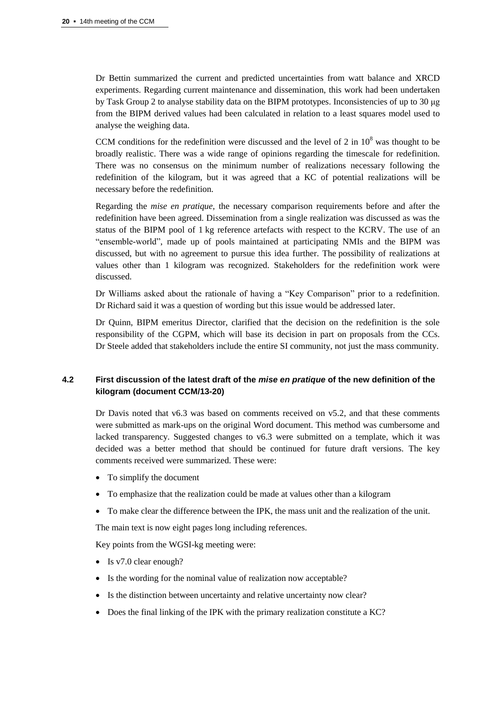Dr Bettin summarized the current and predicted uncertainties from watt balance and XRCD experiments. Regarding current maintenance and dissemination, this work had been undertaken by Task Group 2 to analyse stability data on the BIPM prototypes. Inconsistencies of up to 30 μg from the BIPM derived values had been calculated in relation to a least squares model used to analyse the weighing data.

CCM conditions for the redefinition were discussed and the level of 2 in  $10^8$  was thought to be broadly realistic. There was a wide range of opinions regarding the timescale for redefinition. There was no consensus on the minimum number of realizations necessary following the redefinition of the kilogram, but it was agreed that a KC of potential realizations will be necessary before the redefinition.

Regarding the *mise en pratique*, the necessary comparison requirements before and after the redefinition have been agreed. Dissemination from a single realization was discussed as was the status of the BIPM pool of 1 kg reference artefacts with respect to the KCRV. The use of an "ensemble-world", made up of pools maintained at participating NMIs and the BIPM was discussed, but with no agreement to pursue this idea further. The possibility of realizations at values other than 1 kilogram was recognized. Stakeholders for the redefinition work were discussed.

Dr Williams asked about the rationale of having a "Key Comparison" prior to a redefinition. Dr Richard said it was a question of wording but this issue would be addressed later.

Dr Quinn, BIPM emeritus Director, clarified that the decision on the redefinition is the sole responsibility of the CGPM, which will base its decision in part on proposals from the CCs. Dr Steele added that stakeholders include the entire SI community, not just the mass community.

## **4.2 First discussion of the latest draft of the** *mise en pratique* **of the new definition of the kilogram (document CCM/13-20)**

Dr Davis noted that v6.3 was based on comments received on v5.2, and that these comments were submitted as mark-ups on the original Word document. This method was cumbersome and lacked transparency. Suggested changes to v6.3 were submitted on a template, which it was decided was a better method that should be continued for future draft versions. The key comments received were summarized. These were:

- To simplify the document
- To emphasize that the realization could be made at values other than a kilogram
- To make clear the difference between the IPK, the mass unit and the realization of the unit.

The main text is now eight pages long including references.

Key points from the WGSI-kg meeting were:

- Is v7.0 clear enough?
- Is the wording for the nominal value of realization now acceptable?
- Is the distinction between uncertainty and relative uncertainty now clear?
- Does the final linking of the IPK with the primary realization constitute a KC?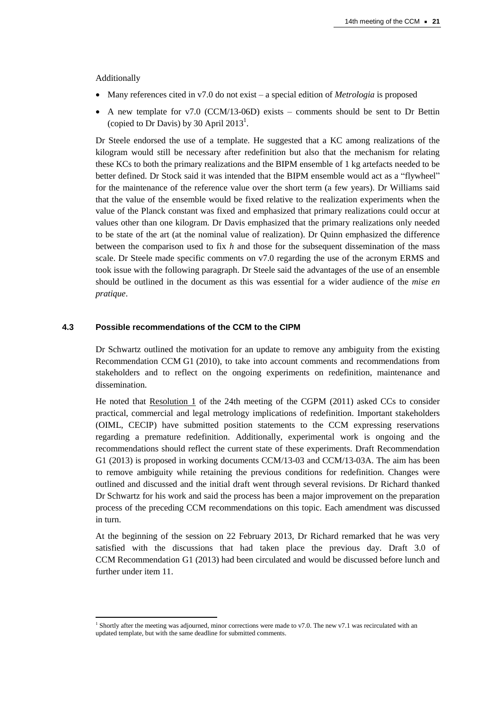Additionally

l

- Many references cited in v7.0 do not exist a special edition of *Metrologia* is proposed
- $\bullet$  A new template for v7.0 (CCM/13-06D) exists comments should be sent to Dr Bettin (copied to Dr Davis) by 30 April 2013<sup>1</sup>.

Dr Steele endorsed the use of a template. He suggested that a KC among realizations of the kilogram would still be necessary after redefinition but also that the mechanism for relating these KCs to both the primary realizations and the BIPM ensemble of 1 kg artefacts needed to be better defined. Dr Stock said it was intended that the BIPM ensemble would act as a "flywheel" for the maintenance of the reference value over the short term (a few years). Dr Williams said that the value of the ensemble would be fixed relative to the realization experiments when the value of the Planck constant was fixed and emphasized that primary realizations could occur at values other than one kilogram. Dr Davis emphasized that the primary realizations only needed to be state of the art (at the nominal value of realization). Dr Quinn emphasized the difference between the comparison used to fix *h* and those for the subsequent dissemination of the mass scale. Dr Steele made specific comments on v7.0 regarding the use of the acronym ERMS and took issue with the following paragraph. Dr Steele said the advantages of the use of an ensemble should be outlined in the document as this was essential for a wider audience of the *mise en pratique*.

#### **4.3 Possible recommendations of the CCM to the CIPM**

Dr Schwartz outlined the motivation for an update to remove any ambiguity from the existing Recommendation CCM G1 (2010), to take into account comments and recommendations from stakeholders and to reflect on the ongoing experiments on redefinition, maintenance and dissemination.

He noted that [Resolution 1](http://www.bipm.org/en/CGPM/db/24/1/) of the 24th meeting of the CGPM (2011) asked CCs to consider practical, commercial and legal metrology implications of redefinition. Important stakeholders (OIML, CECIP) have submitted position statements to the CCM expressing reservations regarding a premature redefinition. Additionally, experimental work is ongoing and the recommendations should reflect the current state of these experiments. Draft Recommendation G1 (2013) is proposed in working documents CCM/13-03 and CCM/13-03A. The aim has been to remove ambiguity while retaining the previous conditions for redefinition. Changes were outlined and discussed and the initial draft went through several revisions. Dr Richard thanked Dr Schwartz for his work and said the process has been a major improvement on the preparation process of the preceding CCM recommendations on this topic. Each amendment was discussed in turn.

At the beginning of the session on 22 February 2013, Dr Richard remarked that he was very satisfied with the discussions that had taken place the previous day. Draft 3.0 of CCM Recommendation G1 (2013) had been circulated and would be discussed before lunch and further under item 11.

<sup>&</sup>lt;sup>1</sup> Shortly after the meeting was adjourned, minor corrections were made to v7.0. The new v7.1 was recirculated with an updated template, but with the same deadline for submitted comments.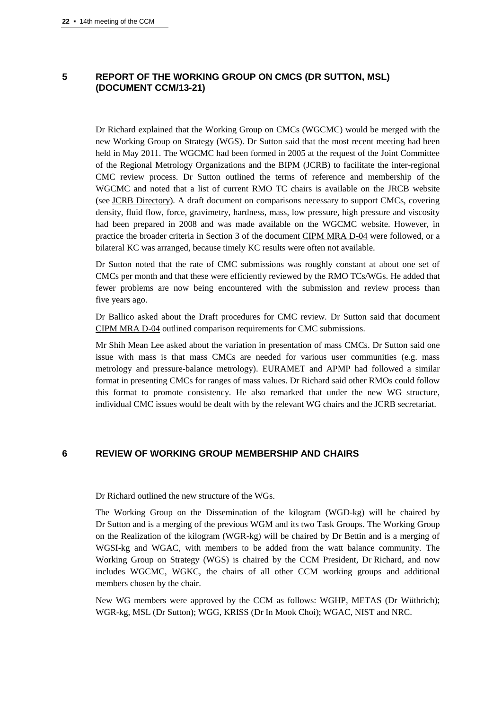## **5 REPORT OF THE WORKING GROUP ON CMCS (DR SUTTON, MSL) (DOCUMENT CCM/13-21)**

Dr Richard explained that the Working Group on CMCs (WGCMC) would be merged with the new Working Group on Strategy (WGS). Dr Sutton said that the most recent meeting had been held in May 2011. The WGCMC had been formed in 2005 at the request of the Joint Committee of the Regional Metrology Organizations and the BIPM (JCRB) to facilitate the inter-regional CMC review process. Dr Sutton outlined the terms of reference and membership of the WGCMC and noted that a list of current RMO TC chairs is available on the JRCB website (see [JCRB Directory\)](http://www.bipm.org/utils/en/pdf/jcrb_contact_details.pdf). A draft document on comparisons necessary to support CMCs, covering density, fluid flow, force, gravimetry, hardness, mass, low pressure, high pressure and viscosity had been prepared in 2008 and was made available on the WGCMC website. However, in practice the broader criteria in Section 3 of the document [CIPM MRA D-04](http://www.bipm.org/utils/common/CIPM_MRA/CIPM_MRA-D-04.pdf) were followed, or a bilateral KC was arranged, because timely KC results were often not available.

Dr Sutton noted that the rate of CMC submissions was roughly constant at about one set of CMCs per month and that these were efficiently reviewed by the RMO TCs/WGs. He added that fewer problems are now being encountered with the submission and review process than five years ago.

Dr Ballico asked about the Draft procedures for CMC review. Dr Sutton said that document [CIPM MRA D-04](http://www.bipm.org/utils/common/CIPM_MRA/CIPM_MRA-D-04.pdf) outlined comparison requirements for CMC submissions.

Mr Shih Mean Lee asked about the variation in presentation of mass CMCs. Dr Sutton said one issue with mass is that mass CMCs are needed for various user communities (e.g. mass metrology and pressure-balance metrology). EURAMET and APMP had followed a similar format in presenting CMCs for ranges of mass values. Dr Richard said other RMOs could follow this format to promote consistency. He also remarked that under the new WG structure, individual CMC issues would be dealt with by the relevant WG chairs and the JCRB secretariat.

#### **6 REVIEW OF WORKING GROUP MEMBERSHIP AND CHAIRS**

Dr Richard outlined the new structure of the WGs.

The Working Group on the Dissemination of the kilogram (WGD-kg) will be chaired by Dr Sutton and is a merging of the previous WGM and its two Task Groups. The Working Group on the Realization of the kilogram (WGR-kg) will be chaired by Dr Bettin and is a merging of WGSI-kg and WGAC, with members to be added from the watt balance community. The Working Group on Strategy (WGS) is chaired by the CCM President, Dr Richard, and now includes WGCMC, WGKC, the chairs of all other CCM working groups and additional members chosen by the chair.

New WG members were approved by the CCM as follows: WGHP, METAS (Dr Wüthrich); WGR-kg, MSL (Dr Sutton); WGG, KRISS (Dr In Mook Choi); WGAC, NIST and NRC.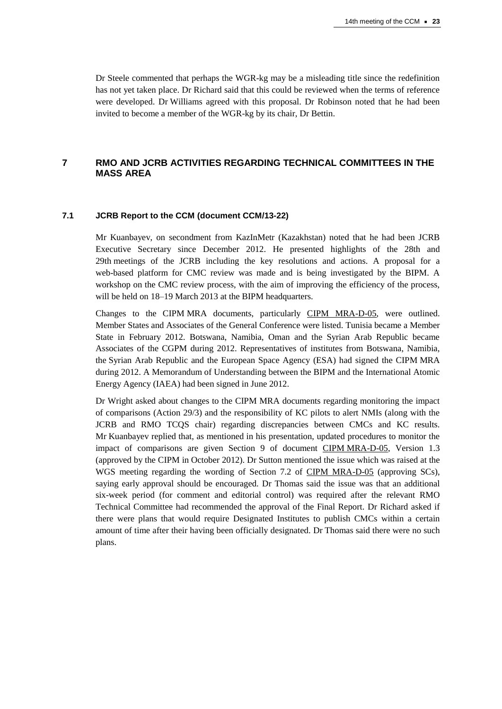Dr Steele commented that perhaps the WGR-kg may be a misleading title since the redefinition has not yet taken place. Dr Richard said that this could be reviewed when the terms of reference were developed. Dr Williams agreed with this proposal. Dr Robinson noted that he had been invited to become a member of the WGR-kg by its chair, Dr Bettin.

## **7 RMO AND JCRB ACTIVITIES REGARDING TECHNICAL COMMITTEES IN THE MASS AREA**

#### **7.1 JCRB Report to the CCM (document CCM/13-22)**

Mr Kuanbayev, on secondment from KazInMetr (Kazakhstan) noted that he had been JCRB Executive Secretary since December 2012. He presented highlights of the 28th and 29th meetings of the JCRB including the key resolutions and actions. A proposal for a web-based platform for CMC review was made and is being investigated by the BIPM. A workshop on the CMC review process, with the aim of improving the efficiency of the process, will be held on 18–19 March 2013 at the BIPM headquarters.

Changes to the CIPM MRA documents, particularly [CIPM MRA-D-05,](http://www.bipm.org/utils/common/CIPM_MRA/CIPM_MRA-D-05.pdf) were outlined. Member States and Associates of the General Conference were listed. Tunisia became a Member State in February 2012. Botswana, Namibia, Oman and the Syrian Arab Republic became Associates of the CGPM during 2012. Representatives of institutes from Botswana, Namibia, the Syrian Arab Republic and the European Space Agency (ESA) had signed the CIPM MRA during 2012. A Memorandum of Understanding between the BIPM and the International Atomic Energy Agency (IAEA) had been signed in June 2012.

Dr Wright asked about changes to the CIPM MRA documents regarding monitoring the impact of comparisons (Action 29/3) and the responsibility of KC pilots to alert NMIs (along with the JCRB and RMO TCQS chair) regarding discrepancies between CMCs and KC results. Mr Kuanbayev replied that, as mentioned in his presentation, updated procedures to monitor the impact of comparisons are given Section 9 of document CIPM [MRA-D-05,](http://www.bipm.org/utils/common/CIPM_MRA/CIPM_MRA-D-05.pdf) Version 1.3 (approved by the CIPM in October 2012). Dr Sutton mentioned the issue which was raised at the WGS meeting regarding the wording of Section 7.2 of [CIPM MRA-D-05](http://www.bipm.org/utils/common/CIPM_MRA/CIPM_MRA-D-05.pdf) (approving SCs), saying early approval should be encouraged. Dr Thomas said the issue was that an additional six-week period (for comment and editorial control) was required after the relevant RMO Technical Committee had recommended the approval of the Final Report. Dr Richard asked if there were plans that would require Designated Institutes to publish CMCs within a certain amount of time after their having been officially designated. Dr Thomas said there were no such plans.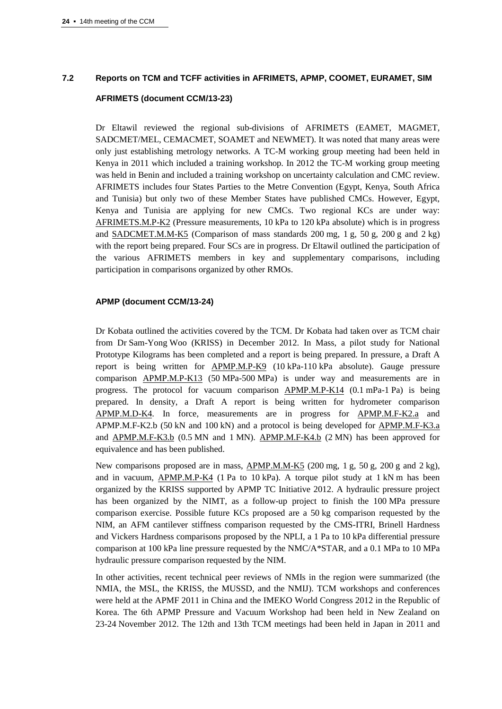## **7.2 Reports on TCM and TCFF activities in AFRIMETS, APMP, COOMET, EURAMET, SIM**

#### **AFRIMETS (document CCM/13-23)**

Dr Eltawil reviewed the regional sub-divisions of AFRIMETS (EAMET, MAGMET, SADCMET/MEL, CEMACMET, SOAMET and NEWMET). It was noted that many areas were only just establishing metrology networks. A TC-M working group meeting had been held in Kenya in 2011 which included a training workshop. In 2012 the TC-M working group meeting was held in Benin and included a training workshop on uncertainty calculation and CMC review. AFRIMETS includes four States Parties to the Metre Convention (Egypt, Kenya, South Africa and Tunisia) but only two of these Member States have published CMCs. However, Egypt, Kenya and Tunisia are applying for new CMCs. Two regional KCs are under way: [AFRIMETS.M.P-K2](http://kcdb.bipm.org/appendixB/KCDB_ApB_info.asp?cmp_idy=1202&cmp_cod=AFRIMETS.M.P-K2&prov=exalead) (Pressure measurements, 10 kPa to 120 kPa absolute) which is in progress and [SADCMET.M.M-K5](http://kcdb.bipm.org/appendixB/KCDB_ApB_info.asp?cmp_idy=440&cmp_cod=SADCMET.M.M-K5&prov=exalead) (Comparison of mass standards 200 mg, 1 g, 50 g, 200 g and 2 kg) with the report being prepared. Four SCs are in progress. Dr Eltawil outlined the participation of the various AFRIMETS members in key and supplementary comparisons, including participation in comparisons organized by other RMOs.

#### **APMP (document CCM/13-24)**

Dr Kobata outlined the activities covered by the TCM. Dr Kobata had taken over as TCM chair from Dr Sam-Yong Woo (KRISS) in December 2012. In Mass, a pilot study for National Prototype Kilograms has been completed and a report is being prepared. In pressure, a Draft A report is being written for [APMP.M.P-K9](http://kcdb.bipm.org/appendixB/KCDB_ApB_info.asp?cmp_idy=965&cmp_cod=APMP.M.P-K9&prov=exalead) (10 kPa-110 kPa absolute). Gauge pressure comparison [APMP.M.P-K13](http://kcdb.bipm.org/appendixB/KCDB_ApB_info.asp?cmp_idy=1031&cmp_cod=APMP.M.P-K13&prov=exalead) (50 MPa-500 MPa) is under way and measurements are in progress. The protocol for vacuum comparison **[APMP.M.P-K14](http://kcdb.bipm.org/appendixB/KCDB_ApB_info.asp?cmp_idy=1307&cmp_cod=APMP.M.P-K14&prov=exalead)** (0.1 mPa-1 Pa) is being prepared. In density, a Draft A report is being written for hydrometer comparison [APMP.M.D-K4.](http://kcdb.bipm.org/appendixB/KCDB_ApB_info.asp?cmp_idy=847&cmp_cod=APMP.M.D-K4&prov=exalead) In force, measurements are in progress for [APMP.M.F-K2.a](http://kcdb.bipm.org/appendixB/KCDB_ApB_info.asp?cmp_idy=1061&cmp_cod=APMP.M.FF-K2.a&prov=exalead) and APMP.M.F-K2.b (50 kN and 100 kN) and a protocol is being developed for [APMP.M.F-K3.a](http://kcdb.bipm.org/appendixB/KCDB_ApB_info.asp?cmp_idy=1088&cmp_cod=APMP.M.F-K3.a&prov=exalead) and [APMP.M.F-K3.b](http://kcdb.bipm.org/appendixB/KCDB_ApB_info.asp?cmp_idy=1089&cmp_cod=APMP.M.F-K3.b&prov=exalead) (0.5 MN and 1 MN). [APMP.M.F-K4.b](http://kcdb.bipm.org/appendixB/KCDB_ApB_info.asp?cmp_idy=671&cmp_cod=APMP.M.F-K4.b&prov=exalead) (2 MN) has been approved for equivalence and has been published.

New comparisons proposed are in mass, [APMP.M.M-K5](http://kcdb.bipm.org/appendixB/KCDB_ApB_info.asp?cmp_idy=1215&cmp_cod=APMP.M.M-K5&prov=exalead) (200 mg, 1 g, 50 g, 200 g and 2 kg), and in vacuum,  $\Delta PMP.M.P-K4$  (1 Pa to 10 kPa). A torque pilot study at 1 kN m has been organized by the KRISS supported by APMP TC Initiative 2012. A hydraulic pressure project has been organized by the NIMT, as a follow-up project to finish the 100 MPa pressure comparison exercise. Possible future KCs proposed are a 50 kg comparison requested by the NIM, an AFM cantilever stiffness comparison requested by the CMS-ITRI, Brinell Hardness and Vickers Hardness comparisons proposed by the NPLI, a 1 Pa to 10 kPa differential pressure comparison at 100 kPa line pressure requested by the NMC/A\*STAR, and a 0.1 MPa to 10 MPa hydraulic pressure comparison requested by the NIM.

In other activities, recent technical peer reviews of NMIs in the region were summarized (the NMIA, the MSL, the KRISS, the MUSSD, and the NMIJ). TCM workshops and conferences were held at the APMF 2011 in China and the IMEKO World Congress 2012 in the Republic of Korea. The 6th APMP Pressure and Vacuum Workshop had been held in New Zealand on 23-24 November 2012. The 12th and 13th TCM meetings had been held in Japan in 2011 and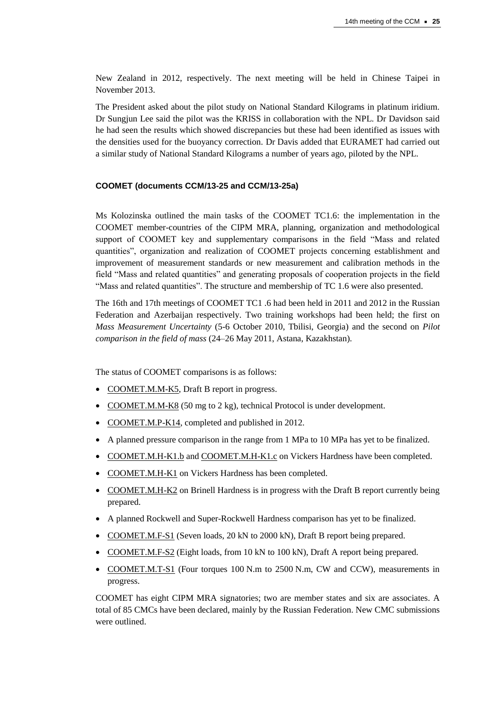New Zealand in 2012, respectively. The next meeting will be held in Chinese Taipei in November 2013.

The President asked about the pilot study on National Standard Kilograms in platinum iridium. Dr Sungjun Lee said the pilot was the KRISS in collaboration with the NPL. Dr Davidson said he had seen the results which showed discrepancies but these had been identified as issues with the densities used for the buoyancy correction. Dr Davis added that EURAMET had carried out a similar study of National Standard Kilograms a number of years ago, piloted by the NPL.

#### **COOMET (documents CCM/13-25 and CCM/13-25a)**

Ms Kolozinska outlined the main tasks of the COOMET TC1.6: the implementation in the COOMET member-countries of the CIPM MRA, planning, organization and methodological support of COOMET key and supplementary comparisons in the field "Mass and related quantities", organization and realization of COOMET projects concerning establishment and improvement of measurement standards or new measurement and calibration methods in the field "Mass and related quantities" and generating proposals of cooperation projects in the field "Mass and related quantities". The structure and membership of TC 1.6 were also presented.

The 16th and 17th meetings of COOMET TC1 .6 had been held in 2011 and 2012 in the Russian Federation and Azerbaijan respectively. Two training workshops had been held; the first on *Mass Measurement Uncertainty* (5-6 October 2010, Tbilisi, Georgia) and the second on *Pilot comparison in the field of mass* (24–26 May 2011, Astana, Kazakhstan).

The status of COOMET comparisons is as follows:

- [COOMET.M.M-K5,](http://kcdb.bipm.org/appendixB/KCDB_ApB_info.asp?cmp_idy=868&cmp_cod=COOMET.M.M-K5&prov=exalead) Draft B report in progress.
- [COOMET.M.M-K8](http://kcdb.bipm.org/appendixB/KCDB_ApB_info.asp?cmp_idy=1181&cmp_cod=COOMET.M.M-K8&prov=exalead) (50 mg to 2 kg), technical Protocol is under development.
- [COOMET.M.P-K14,](http://kcdb.bipm.org/appendixB/KCDB_ApB_info.asp?cmp_idy=963&cmp_cod=COOMET.M.P-K14&prov=exalead) completed and published in 2012.
- A planned pressure comparison in the range from 1 MPa to 10 MPa has yet to be finalized.
- [COOMET.M.H-K1.b](http://kcdb.bipm.org/appendixB/KCDB_ApB_info.asp?cmp_idy=629&cmp_cod=COOMET.M.H-K1.b&prov=exalead) an[d COOMET.M.H-K1.c](http://kcdb.bipm.org/appendixB/KCDB_ApB_info.asp?cmp_idy=630&cmp_cod=COOMET.M.H-K1.c&prov=exalead) on Vickers Hardness have been completed.
- [COOMET.M.H-K1](http://kcdb.bipm.org/appendixB/KCDB_ApB_info.asp?cmp_idy=928&cmp_cod=COOMET.M.H-K1&prov=exalead) on Vickers Hardness has been completed.
- [COOMET.M.H-K2](http://kcdb.bipm.org/appendixB/KCDB_ApB_info.asp?cmp_idy=927&cmp_cod=COOMET.M.H-K2&prov=exalead) on Brinell Hardness is in progress with the Draft B report currently being prepared.
- A planned Rockwell and Super-Rockwell Hardness comparison has yet to be finalized.
- [COOMET.M.F-S1](http://kcdb.bipm.org/appendixB/KCDB_ApB_info.asp?cmp_idy=909&cmp_cod=COOMET.M.F-S1&prov=exalead) (Seven loads, 20 kN to 2000 kN), Draft B report being prepared.
- [COOMET.M.F-S2](http://kcdb.bipm.org/appendixB/KCDB_ApB_info.asp?cmp_idy=1170&cmp_cod=COOMET.M.F-S2&prov=exalead) (Eight loads, from 10 kN to 100 kN), Draft A report being prepared.
- [COOMET.M.T-S1](http://kcdb.bipm.org/appendixB/KCDB_ApB_info.asp?cmp_idy=1172&cmp_cod=COOMET.M.T-S1&prov=exalead) (Four torques 100 N.m to 2500 N.m, CW and CCW), measurements in progress.

COOMET has eight CIPM MRA signatories; two are member states and six are associates. A total of 85 CMCs have been declared, mainly by the Russian Federation. New CMC submissions were outlined.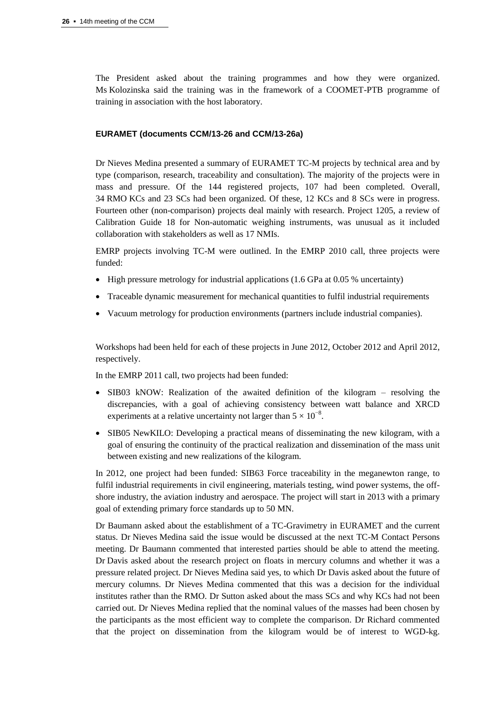The President asked about the training programmes and how they were organized. Ms Kolozinska said the training was in the framework of a COOMET-PTB programme of training in association with the host laboratory.

#### **EURAMET (documents CCM/13-26 and CCM/13-26a)**

Dr Nieves Medina presented a summary of EURAMET TC-M projects by technical area and by type (comparison, research, traceability and consultation). The majority of the projects were in mass and pressure. Of the 144 registered projects, 107 had been completed. Overall, 34 RMO KCs and 23 SCs had been organized. Of these, 12 KCs and 8 SCs were in progress. Fourteen other (non-comparison) projects deal mainly with research. Project 1205, a review of Calibration Guide 18 for Non-automatic weighing instruments, was unusual as it included collaboration with stakeholders as well as 17 NMIs.

EMRP projects involving TC-M were outlined. In the EMRP 2010 call, three projects were funded:

- $\bullet$  High pressure metrology for industrial applications (1.6 GPa at 0.05 % uncertainty)
- Traceable dynamic measurement for mechanical quantities to fulfil industrial requirements
- Vacuum metrology for production environments (partners include industrial companies).

Workshops had been held for each of these projects in June 2012, October 2012 and April 2012, respectively.

In the EMRP 2011 call, two projects had been funded:

- SIB03 kNOW: Realization of the awaited definition of the kilogram resolving the discrepancies, with a goal of achieving consistency between watt balance and XRCD experiments at a relative uncertainty not larger than  $5 \times 10^{-8}$ .
- SIB05 NewKILO: Developing a practical means of disseminating the new kilogram, with a goal of ensuring the continuity of the practical realization and dissemination of the mass unit between existing and new realizations of the kilogram.

In 2012, one project had been funded: SIB63 Force traceability in the meganewton range, to fulfil industrial requirements in civil engineering, materials testing, wind power systems, the offshore industry, the aviation industry and aerospace. The project will start in 2013 with a primary goal of extending primary force standards up to 50 MN.

Dr Baumann asked about the establishment of a TC-Gravimetry in EURAMET and the current status. Dr Nieves Medina said the issue would be discussed at the next TC-M Contact Persons meeting. Dr Baumann commented that interested parties should be able to attend the meeting. Dr Davis asked about the research project on floats in mercury columns and whether it was a pressure related project. Dr Nieves Medina said yes, to which Dr Davis asked about the future of mercury columns. Dr Nieves Medina commented that this was a decision for the individual institutes rather than the RMO. Dr Sutton asked about the mass SCs and why KCs had not been carried out. Dr Nieves Medina replied that the nominal values of the masses had been chosen by the participants as the most efficient way to complete the comparison. Dr Richard commented that the project on dissemination from the kilogram would be of interest to WGD-kg.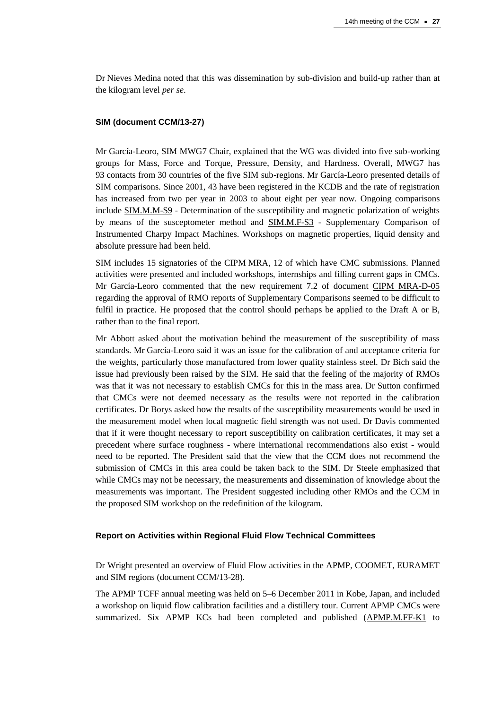Dr Nieves Medina noted that this was dissemination by sub-division and build-up rather than at the kilogram level *per se*.

#### **SIM (document CCM/13-27)**

Mr García-Leoro, SIM MWG7 Chair, explained that the WG was divided into five sub-working groups for Mass, Force and Torque, Pressure, Density, and Hardness. Overall, MWG7 has 93 contacts from 30 countries of the five SIM sub-regions. Mr García-Leoro presented details of SIM comparisons. Since 2001, 43 have been registered in the KCDB and the rate of registration has increased from two per year in 2003 to about eight per year now. Ongoing comparisons include [SIM.M.M-S9](http://kcdb.bipm.org/appendixB/KCDB_ApB_info.asp?cmp_idy=1142&cmp_cod=SIM.M.M-S9&prov=exalead) - Determination of the susceptibility and magnetic polarization of weights by means of the susceptometer method and [SIM.M.F-S3](http://kcdb.bipm.org/appendixB/KCDB_ApB_info.asp?cmp_idy=1238&cmp_cod=SIM.M.F-S3&prov=exalead) - Supplementary Comparison of Instrumented Charpy Impact Machines. Workshops on magnetic properties, liquid density and absolute pressure had been held.

SIM includes 15 signatories of the CIPM MRA, 12 of which have CMC submissions. Planned activities were presented and included workshops, internships and filling current gaps in CMCs. Mr García-Leoro commented that the new requirement 7.2 of document [CIPM MRA-D-05](http://www.bipm.org/utils/common/CIPM_MRA/CIPM_MRA-D-05.pdf) regarding the approval of RMO reports of Supplementary Comparisons seemed to be difficult to fulfil in practice. He proposed that the control should perhaps be applied to the Draft A or B. rather than to the final report.

Mr Abbott asked about the motivation behind the measurement of the susceptibility of mass standards. Mr García-Leoro said it was an issue for the calibration of and acceptance criteria for the weights, particularly those manufactured from lower quality stainless steel. Dr Bich said the issue had previously been raised by the SIM. He said that the feeling of the majority of RMOs was that it was not necessary to establish CMCs for this in the mass area. Dr Sutton confirmed that CMCs were not deemed necessary as the results were not reported in the calibration certificates. Dr Borys asked how the results of the susceptibility measurements would be used in the measurement model when local magnetic field strength was not used. Dr Davis commented that if it were thought necessary to report susceptibility on calibration certificates, it may set a precedent where surface roughness - where international recommendations also exist - would need to be reported. The President said that the view that the CCM does not recommend the submission of CMCs in this area could be taken back to the SIM. Dr Steele emphasized that while CMCs may not be necessary, the measurements and dissemination of knowledge about the measurements was important. The President suggested including other RMOs and the CCM in the proposed SIM workshop on the redefinition of the kilogram.

#### **Report on Activities within Regional Fluid Flow Technical Committees**

Dr Wright presented an overview of Fluid Flow activities in the APMP, COOMET, EURAMET and SIM regions (document CCM/13-28).

The APMP TCFF annual meeting was held on 5–6 December 2011 in Kobe, Japan, and included a workshop on liquid flow calibration facilities and a distillery tour. Current APMP CMCs were summarized. Six APMP KCs had been completed and published [\(APMP.M.FF-K1](http://kcdb.bipm.org/appendixB/KCDB_ApB_info.asp?cmp_idy=374&cmp_cod=APMP.M.FF-K1&prov=exalead) to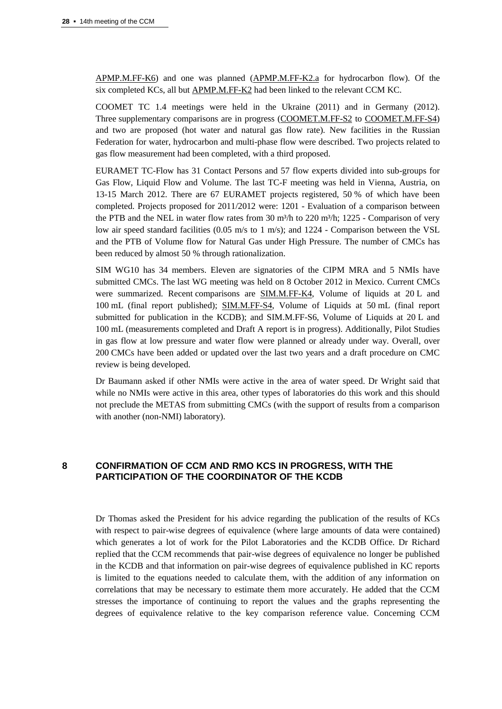[APMP.M.FF-K6\)](http://kcdb.bipm.org/appendixB/KCDB_ApB_info.asp?cmp_idy=379&cmp_cod=APMP.M.FF-K6&prov=exalead) and one was planned [\(APMP.M.FF-K2.a](http://kcdb.bipm.org/appendixB/KCDB_ApB_info.asp?cmp_idy=1061&cmp_cod=APMP.M.FF-K2.a&prov=exalead) for hydrocarbon flow). Of the six completed KCs, all bu[t APMP.M.FF-K2](http://kcdb.bipm.org/appendixB/KCDB_ApB_info.asp?cmp_idy=375&cmp_cod=APMP.M.FF-K2&prov=exalead) had been linked to the relevant CCM KC.

COOMET TC 1.4 meetings were held in the Ukraine (2011) and in Germany (2012). Three supplementary comparisons are in progress [\(COOMET.M.FF-S2](http://kcdb.bipm.org/appendixB/KCDB_ApB_info.asp?cmp_idy=907&cmp_cod=COOMET.M.FF-S2&prov=exalead) to [COOMET.M.FF-S4\)](http://kcdb.bipm.org/appendixB/KCDB_ApB_info.asp?cmp_idy=1037&cmp_cod=COOMET.M.FF-S4&prov=exalead) and two are proposed (hot water and natural gas flow rate). New facilities in the Russian Federation for water, hydrocarbon and multi-phase flow were described. Two projects related to gas flow measurement had been completed, with a third proposed.

EURAMET TC-Flow has 31 Contact Persons and 57 flow experts divided into sub-groups for Gas Flow, Liquid Flow and Volume. The last TC-F meeting was held in Vienna, Austria, on 13-15 March 2012. There are 67 EURAMET projects registered, 50 % of which have been completed. Projects proposed for 2011/2012 were: 1201 - Evaluation of a comparison between the PTB and the NEL in water flow rates from 30 m<sup>3</sup>/h to 220 m<sup>3</sup>/h; 1225 - Comparison of very low air speed standard facilities (0.05 m/s to 1 m/s); and 1224 - Comparison between the VSL and the PTB of Volume flow for Natural Gas under High Pressure. The number of CMCs has been reduced by almost 50 % through rationalization.

SIM WG10 has 34 members. Eleven are signatories of the CIPM MRA and 5 NMIs have submitted CMCs. The last WG meeting was held on 8 October 2012 in Mexico. Current CMCs were summarized. Recent comparisons are [SIM.M.FF-K4,](http://kcdb.bipm.org/appendixB/KCDB_ApB_info.asp?cmp_idy=474&cmp_cod=SIM.M.FF-K4&prov=exalead) Volume of liquids at 20 L and 100 mL (final report published); [SIM.M.FF-S4,](http://kcdb.bipm.org/appendixB/KCDB_ApB_info.asp?cmp_idy=843&cmp_cod=SIM.M.FF-S4&prov=exalead) Volume of Liquids at 50 mL (final report submitted for publication in the KCDB); and SIM.M.FF-S6, Volume of Liquids at 20 L and 100 mL (measurements completed and Draft A report is in progress). Additionally, Pilot Studies in gas flow at low pressure and water flow were planned or already under way. Overall, over 200 CMCs have been added or updated over the last two years and a draft procedure on CMC review is being developed.

Dr Baumann asked if other NMIs were active in the area of water speed. Dr Wright said that while no NMIs were active in this area, other types of laboratories do this work and this should not preclude the METAS from submitting CMCs (with the support of results from a comparison with another (non-NMI) laboratory).

## **8 CONFIRMATION OF CCM AND RMO KCS IN PROGRESS, WITH THE PARTICIPATION OF THE COORDINATOR OF THE KCDB**

Dr Thomas asked the President for his advice regarding the publication of the results of KCs with respect to pair-wise degrees of equivalence (where large amounts of data were contained) which generates a lot of work for the Pilot Laboratories and the KCDB Office. Dr Richard replied that the CCM recommends that pair-wise degrees of equivalence no longer be published in the KCDB and that information on pair-wise degrees of equivalence published in KC reports is limited to the equations needed to calculate them, with the addition of any information on correlations that may be necessary to estimate them more accurately. He added that the CCM stresses the importance of continuing to report the values and the graphs representing the degrees of equivalence relative to the key comparison reference value. Concerning CCM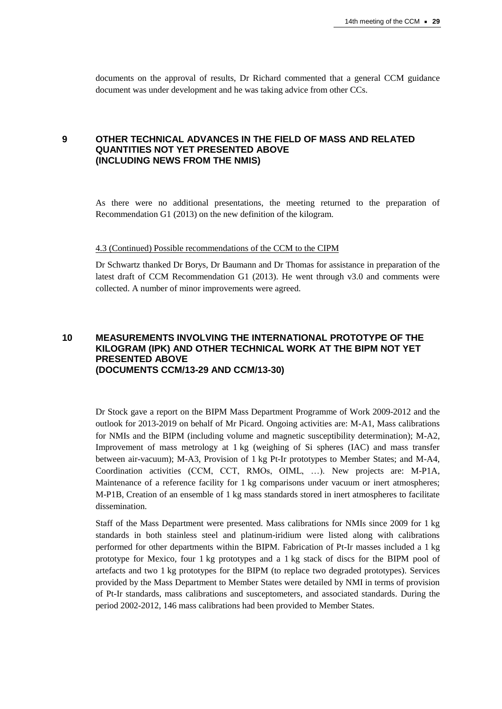documents on the approval of results, Dr Richard commented that a general CCM guidance document was under development and he was taking advice from other CCs.

#### **9 OTHER TECHNICAL ADVANCES IN THE FIELD OF MASS AND RELATED QUANTITIES NOT YET PRESENTED ABOVE (INCLUDING NEWS FROM THE NMIS)**

As there were no additional presentations, the meeting returned to the preparation of Recommendation G1 (2013) on the new definition of the kilogram.

#### 4.3 (Continued) Possible recommendations of the CCM to the CIPM

Dr Schwartz thanked Dr Borys, Dr Baumann and Dr Thomas for assistance in preparation of the latest draft of CCM Recommendation G1 (2013). He went through v3.0 and comments were collected. A number of minor improvements were agreed.

#### **10 MEASUREMENTS INVOLVING THE INTERNATIONAL PROTOTYPE OF THE KILOGRAM (IPK) AND OTHER TECHNICAL WORK AT THE BIPM NOT YET PRESENTED ABOVE (DOCUMENTS CCM/13-29 AND CCM/13-30)**

Dr Stock gave a report on the BIPM Mass Department Programme of Work 2009-2012 and the outlook for 2013-2019 on behalf of Mr Picard. Ongoing activities are: M-A1, Mass calibrations for NMIs and the BIPM (including volume and magnetic susceptibility determination); M-A2, Improvement of mass metrology at 1 kg (weighing of Si spheres (IAC) and mass transfer between air-vacuum); M-A3, Provision of 1 kg Pt-Ir prototypes to Member States; and M-A4, Coordination activities (CCM, CCT, RMOs, OIML, …). New projects are: M-P1A, Maintenance of a reference facility for 1 kg comparisons under vacuum or inert atmospheres; M-P1B, Creation of an ensemble of 1 kg mass standards stored in inert atmospheres to facilitate dissemination.

Staff of the Mass Department were presented. Mass calibrations for NMIs since 2009 for 1 kg standards in both stainless steel and platinum-iridium were listed along with calibrations performed for other departments within the BIPM. Fabrication of Pt-Ir masses included a 1 kg prototype for Mexico, four 1 kg prototypes and a 1 kg stack of discs for the BIPM pool of artefacts and two 1 kg prototypes for the BIPM (to replace two degraded prototypes). Services provided by the Mass Department to Member States were detailed by NMI in terms of provision of Pt-Ir standards, mass calibrations and susceptometers, and associated standards. During the period 2002-2012, 146 mass calibrations had been provided to Member States.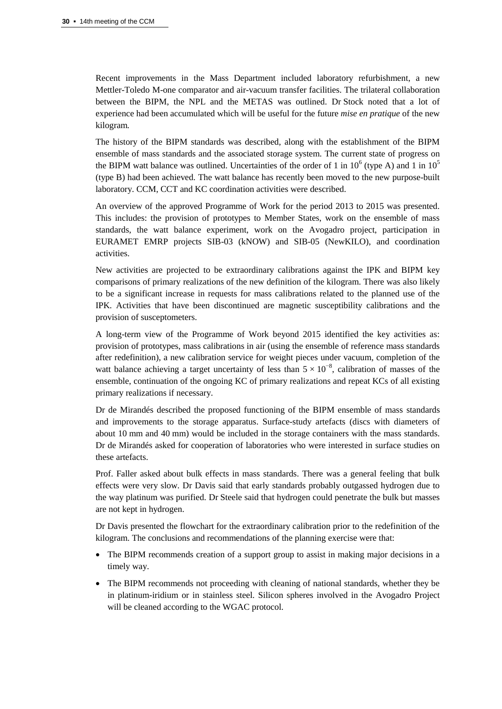Recent improvements in the Mass Department included laboratory refurbishment, a new Mettler-Toledo M-one comparator and air-vacuum transfer facilities. The trilateral collaboration between the BIPM, the NPL and the METAS was outlined. Dr Stock noted that a lot of experience had been accumulated which will be useful for the future *mise en pratique* of the new kilogram*.*

The history of the BIPM standards was described, along with the establishment of the BIPM ensemble of mass standards and the associated storage system. The current state of progress on the BIPM watt balance was outlined. Uncertainties of the order of 1 in  $10^6$  (type A) and 1 in  $10^5$ (type B) had been achieved. The watt balance has recently been moved to the new purpose-built laboratory. CCM, CCT and KC coordination activities were described.

An overview of the approved Programme of Work for the period 2013 to 2015 was presented. This includes: the provision of prototypes to Member States, work on the ensemble of mass standards, the watt balance experiment, work on the Avogadro project, participation in EURAMET EMRP projects SIB-03 (kNOW) and SIB-05 (NewKILO), and coordination activities.

New activities are projected to be extraordinary calibrations against the IPK and BIPM key comparisons of primary realizations of the new definition of the kilogram. There was also likely to be a significant increase in requests for mass calibrations related to the planned use of the IPK. Activities that have been discontinued are magnetic susceptibility calibrations and the provision of susceptometers.

A long-term view of the Programme of Work beyond 2015 identified the key activities as: provision of prototypes, mass calibrations in air (using the ensemble of reference mass standards after redefinition), a new calibration service for weight pieces under vacuum, completion of the watt balance achieving a target uncertainty of less than  $5 \times 10^{-8}$ , calibration of masses of the ensemble, continuation of the ongoing KC of primary realizations and repeat KCs of all existing primary realizations if necessary.

Dr de Mirandés described the proposed functioning of the BIPM ensemble of mass standards and improvements to the storage apparatus. Surface-study artefacts (discs with diameters of about 10 mm and 40 mm) would be included in the storage containers with the mass standards. Dr de Mirandés asked for cooperation of laboratories who were interested in surface studies on these artefacts.

Prof. Faller asked about bulk effects in mass standards. There was a general feeling that bulk effects were very slow. Dr Davis said that early standards probably outgassed hydrogen due to the way platinum was purified. Dr Steele said that hydrogen could penetrate the bulk but masses are not kept in hydrogen.

Dr Davis presented the flowchart for the extraordinary calibration prior to the redefinition of the kilogram. The conclusions and recommendations of the planning exercise were that:

- The BIPM recommends creation of a support group to assist in making major decisions in a timely way.
- The BIPM recommends not proceeding with cleaning of national standards, whether they be in platinum-iridium or in stainless steel. Silicon spheres involved in the Avogadro Project will be cleaned according to the WGAC protocol.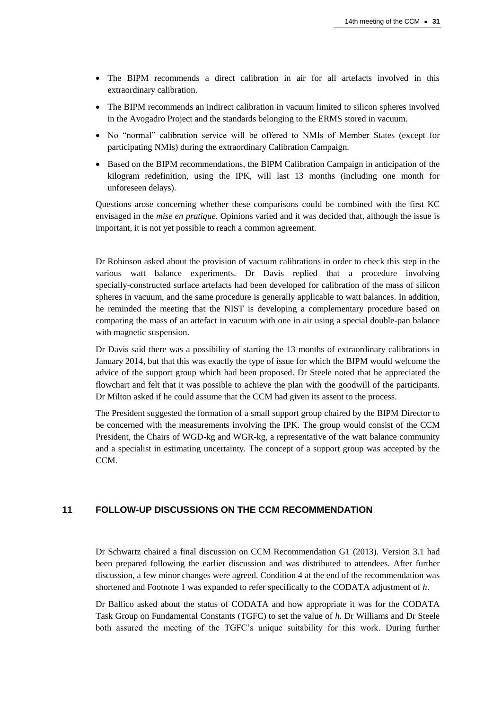- The BIPM recommends a direct calibration in air for all artefacts involved in this extraordinary calibration.
- The BIPM recommends an indirect calibration in vacuum limited to silicon spheres involved in the Avogadro Project and the standards belonging to the ERMS stored in vacuum.
- No "normal" calibration service will be offered to NMIs of Member States (except for participating NMIs) during the extraordinary Calibration Campaign.
- Based on the BIPM recommendations, the BIPM Calibration Campaign in anticipation of the kilogram redefinition, using the IPK, will last 13 months (including one month for unforeseen delays).

Questions arose concerning whether these comparisons could be combined with the first KC envisaged in the *mise en pratique*. Opinions varied and it was decided that, although the issue is important, it is not yet possible to reach a common agreement.

Dr Robinson asked about the provision of vacuum calibrations in order to check this step in the various watt balance experiments. Dr Davis replied that a procedure involving specially-constructed surface artefacts had been developed for calibration of the mass of silicon spheres in vacuum, and the same procedure is generally applicable to watt balances. In addition, he reminded the meeting that the NIST is developing a complementary procedure based on comparing the mass of an artefact in vacuum with one in air using a special double-pan balance with magnetic suspension.

Dr Davis said there was a possibility of starting the 13 months of extraordinary calibrations in January 2014, but that this was exactly the type of issue for which the BIPM would welcome the advice of the support group which had been proposed. Dr Steele noted that he appreciated the flowchart and felt that it was possible to achieve the plan with the goodwill of the participants. Dr Milton asked if he could assume that the CCM had given its assent to the process.

The President suggested the formation of a small support group chaired by the BIPM Director to be concerned with the measurements involving the IPK. The group would consist of the CCM President, the Chairs of WGD-kg and WGR-kg, a representative of the watt balance community and a specialist in estimating uncertainty. The concept of a support group was accepted by the CCM.

## **11 FOLLOW-UP DISCUSSIONS ON THE CCM RECOMMENDATION**

Dr Schwartz chaired a final discussion on CCM Recommendation G1 (2013). Version 3.1 had been prepared following the earlier discussion and was distributed to attendees. After further discussion, a few minor changes were agreed. Condition 4 at the end of the recommendation was shortened and Footnote 1 was expanded to refer specifically to the CODATA adjustment of *h*.

Dr Ballico asked about the status of CODATA and how appropriate it was for the CODATA Task Group on Fundamental Constants (TGFC) to set the value of *h*. Dr Williams and Dr Steele both assured the meeting of the TGFC's unique suitability for this work. During further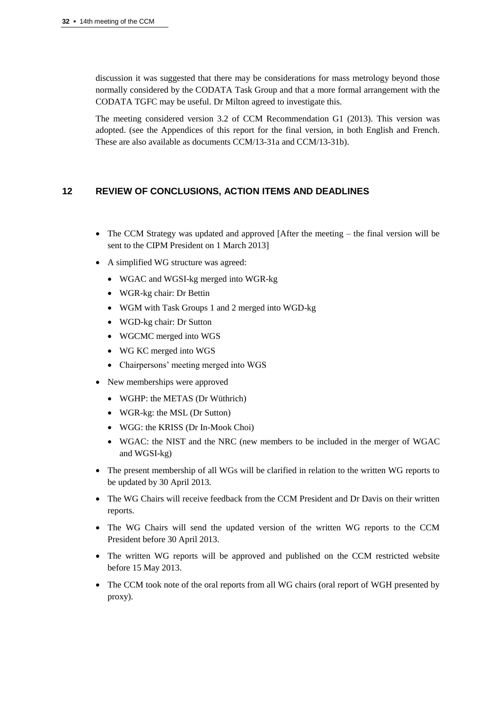discussion it was suggested that there may be considerations for mass metrology beyond those normally considered by the CODATA Task Group and that a more formal arrangement with the CODATA TGFC may be useful. Dr Milton agreed to investigate this.

The meeting considered version 3.2 of CCM Recommendation G1 (2013). This version was adopted. (see the Appendices of this report for the final version, in both English and French. These are also available as documents CCM/13-31a and CCM/13-31b).

## **12 REVIEW OF CONCLUSIONS, ACTION ITEMS AND DEADLINES**

- The CCM Strategy was updated and approved [After the meeting the final version will be sent to the CIPM President on 1 March 2013]
- A simplified WG structure was agreed:
	- WGAC and WGSI-kg merged into WGR-kg
	- WGR-kg chair: Dr Bettin
	- WGM with Task Groups 1 and 2 merged into WGD-kg
	- WGD-kg chair: Dr Sutton
	- WGCMC merged into WGS
	- WG KC merged into WGS
	- Chairpersons' meeting merged into WGS
- New memberships were approved
	- WGHP: the METAS (Dr Wüthrich)
	- WGR-kg: the MSL (Dr Sutton)
	- WGG: the KRISS (Dr In-Mook Choi)
	- WGAC: the NIST and the NRC (new members to be included in the merger of WGAC and WGSI-kg)
- The present membership of all WGs will be clarified in relation to the written WG reports to be updated by 30 April 2013.
- The WG Chairs will receive feedback from the CCM President and Dr Davis on their written reports.
- The WG Chairs will send the updated version of the written WG reports to the CCM President before 30 April 2013.
- The written WG reports will be approved and published on the CCM restricted website before 15 May 2013.
- The CCM took note of the oral reports from all WG chairs (oral report of WGH presented by proxy).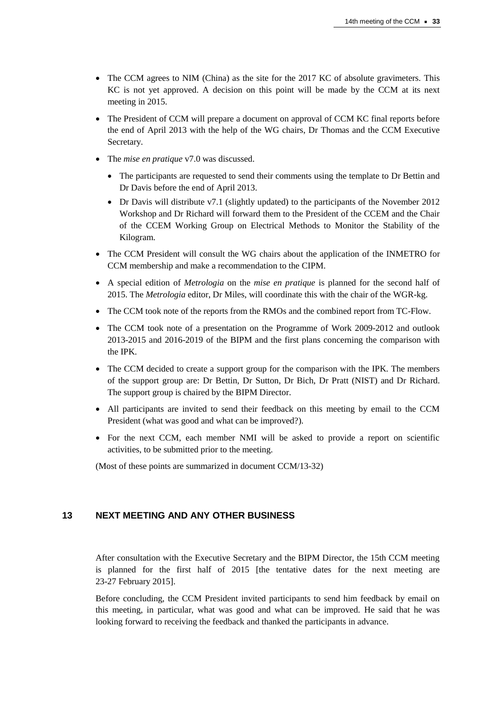- The CCM agrees to NIM (China) as the site for the 2017 KC of absolute gravimeters. This KC is not yet approved. A decision on this point will be made by the CCM at its next meeting in 2015.
- The President of CCM will prepare a document on approval of CCM KC final reports before the end of April 2013 with the help of the WG chairs, Dr Thomas and the CCM Executive Secretary.
- The *mise en pratique* v7.0 was discussed.
	- The participants are requested to send their comments using the template to Dr Bettin and Dr Davis before the end of April 2013.
	- Dr Davis will distribute v7.1 (slightly updated) to the participants of the November 2012 Workshop and Dr Richard will forward them to the President of the CCEM and the Chair of the CCEM Working Group on Electrical Methods to Monitor the Stability of the Kilogram.
- The CCM President will consult the WG chairs about the application of the INMETRO for CCM membership and make a recommendation to the CIPM.
- A special edition of *Metrologia* on the *mise en pratique* is planned for the second half of 2015. The *Metrologia* editor, Dr Miles, will coordinate this with the chair of the WGR-kg.
- The CCM took note of the reports from the RMOs and the combined report from TC-Flow.
- The CCM took note of a presentation on the Programme of Work 2009-2012 and outlook 2013-2015 and 2016-2019 of the BIPM and the first plans concerning the comparison with the IPK.
- The CCM decided to create a support group for the comparison with the IPK. The members of the support group are: Dr Bettin, Dr Sutton, Dr Bich, Dr Pratt (NIST) and Dr Richard. The support group is chaired by the BIPM Director.
- All participants are invited to send their feedback on this meeting by email to the CCM President (what was good and what can be improved?).
- For the next CCM, each member NMI will be asked to provide a report on scientific activities, to be submitted prior to the meeting.

(Most of these points are summarized in document CCM/13-32)

#### **13 NEXT MEETING AND ANY OTHER BUSINESS**

After consultation with the Executive Secretary and the BIPM Director, the 15th CCM meeting is planned for the first half of 2015 [the tentative dates for the next meeting are 23-27 February 2015].

Before concluding, the CCM President invited participants to send him feedback by email on this meeting, in particular, what was good and what can be improved. He said that he was looking forward to receiving the feedback and thanked the participants in advance.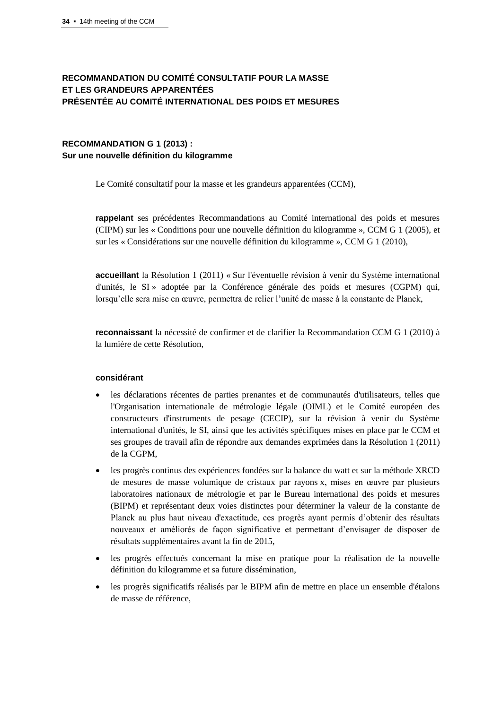## **RECOMMANDATION DU COMITÉ CONSULTATIF POUR LA MASSE ET LES GRANDEURS APPARENTÉES PRÉSENTÉE AU COMITÉ INTERNATIONAL DES POIDS ET MESURES**

## **RECOMMANDATION G 1 (2013) : Sur une nouvelle définition du kilogramme**

Le Comité consultatif pour la masse et les grandeurs apparentées (CCM),

**rappelant** ses précédentes Recommandations au Comité international des poids et mesures (CIPM) sur les « Conditions pour une nouvelle définition du kilogramme », CCM G 1 (2005), et sur les « Considérations sur une nouvelle définition du kilogramme », CCM G 1 (2010),

**accueillant** la Résolution 1 (2011) « Sur l'éventuelle révision à venir du Système international d'unités, le SI » adoptée par la Conférence générale des poids et mesures (CGPM) qui, lorsqu'elle sera mise en œuvre, permettra de relier l'unité de masse à la constante de Planck,

**reconnaissant** la nécessité de confirmer et de clarifier la Recommandation CCM G 1 (2010) à la lumière de cette Résolution,

#### **considérant**

- les déclarations récentes de parties prenantes et de communautés d'utilisateurs, telles que l'Organisation internationale de métrologie légale (OIML) et le Comité européen des constructeurs d'instruments de pesage (CECIP), sur la révision à venir du Système international d'unités, le SI, ainsi que les activités spécifiques mises en place par le CCM et ses groupes de travail afin de répondre aux demandes exprimées dans la Résolution 1 (2011) de la CGPM,
- les progrès continus des expériences fondées sur la balance du watt et sur la méthode XRCD de mesures de masse volumique de cristaux par rayons x, mises en œuvre par plusieurs laboratoires nationaux de métrologie et par le Bureau international des poids et mesures (BIPM) et représentant deux voies distinctes pour déterminer la valeur de la constante de Planck au plus haut niveau d'exactitude, ces progrès ayant permis d'obtenir des résultats nouveaux et améliorés de façon significative et permettant d'envisager de disposer de résultats supplémentaires avant la fin de 2015,
- les progrès effectués concernant la mise en pratique pour la réalisation de la nouvelle définition du kilogramme et sa future dissémination,
- les progrès significatifs réalisés par le BIPM afin de mettre en place un ensemble d'étalons de masse de référence,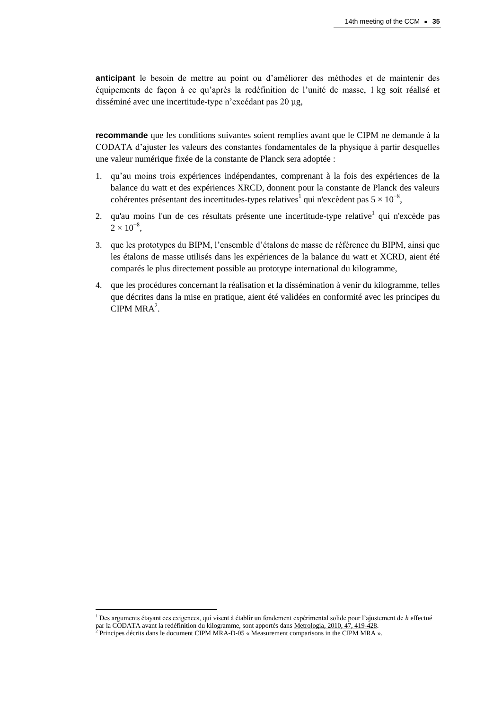**anticipant** le besoin de mettre au point ou d'améliorer des méthodes et de maintenir des équipements de façon à ce qu'après la redéfinition de l'unité de masse, 1 kg soit réalisé et disséminé avec une incertitude-type n'excédant pas 20 µg,

**recommande** que les conditions suivantes soient remplies avant que le CIPM ne demande à la CODATA d'ajuster les valeurs des constantes fondamentales de la physique à partir desquelles une valeur numérique fixée de la constante de Planck sera adoptée :

- 1. qu'au moins trois expériences indépendantes, comprenant à la fois des expériences de la balance du watt et des expériences XRCD, donnent pour la constante de Planck des valeurs cohérentes présentant des incertitudes-types relatives<sup>1</sup> qui n'excèdent pas  $5 \times 10^{-8}$ ,
- 2. qu'au moins l'un de ces résultats présente une incertitude-type relative<sup>1</sup> qui n'excède pas  $2 \times 10^{-8}$ ,
- 3. que les prototypes du BIPM, l'ensemble d'étalons de masse de référence du BIPM, ainsi que les étalons de masse utilisés dans les expériences de la balance du watt et XCRD, aient été comparés le plus directement possible au prototype international du kilogramme,
- 4. que les procédures concernant la réalisation et la dissémination à venir du kilogramme, telles que décrites dans la mise en pratique, aient été validées en conformité avec les principes du CIPM  $MRA<sup>2</sup>$ .

 $\overline{\phantom{a}}$ 

<sup>1</sup> Des arguments étayant ces exigences, qui visent à établir un fondement expérimental solide pour l'ajustement de *h* effectué par la CODATA avant la redéfinition du kilogramme, sont apportés dans <u>Metrologia, 2010, 47, 419-428.</u><br>2 Deinaines décrits dans la document CIPM MP A, D, 05 « Massurement comparisons in the CIPM MP A «

Principes décrits dans le document CIPM MRA-D-05 « Measurement comparisons in the CIPM MRA ».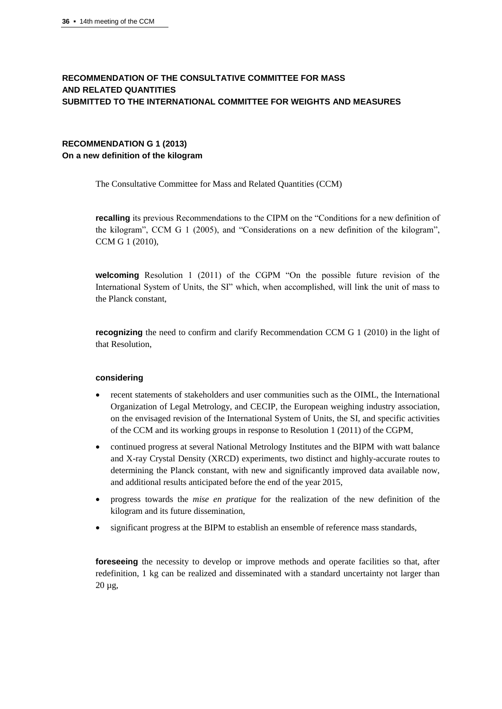## **RECOMMENDATION OF THE CONSULTATIVE COMMITTEE FOR MASS AND RELATED QUANTITIES SUBMITTED TO THE INTERNATIONAL COMMITTEE FOR WEIGHTS AND MEASURES**

## **RECOMMENDATION G 1 (2013) On a new definition of the kilogram**

The Consultative Committee for Mass and Related Quantities (CCM)

**recalling** its previous Recommendations to the CIPM on the "Conditions for a new definition of the kilogram", CCM G 1 (2005), and "Considerations on a new definition of the kilogram", CCM G 1 (2010),

**welcoming** Resolution 1 (2011) of the CGPM "On the possible future revision of the International System of Units, the SI" which, when accomplished, will link the unit of mass to the Planck constant,

**recognizing** the need to confirm and clarify Recommendation CCM G 1 (2010) in the light of that Resolution,

#### **considering**

- recent statements of stakeholders and user communities such as the OIML, the International Organization of Legal Metrology, and CECIP, the European weighing industry association, on the envisaged revision of the International System of Units, the SI, and specific activities of the CCM and its working groups in response to Resolution 1 (2011) of the CGPM,
- continued progress at several National Metrology Institutes and the BIPM with watt balance and X-ray Crystal Density (XRCD) experiments, two distinct and highly-accurate routes to determining the Planck constant, with new and significantly improved data available now, and additional results anticipated before the end of the year 2015,
- progress towards the *mise en pratique* for the realization of the new definition of the kilogram and its future dissemination,
- significant progress at the BIPM to establish an ensemble of reference mass standards,

**fore seeing** the necessity to develop or improve methods and operate facilities so that, after redefinition, 1 kg can be realized and disseminated with a standard uncertainty not larger than 20 µg,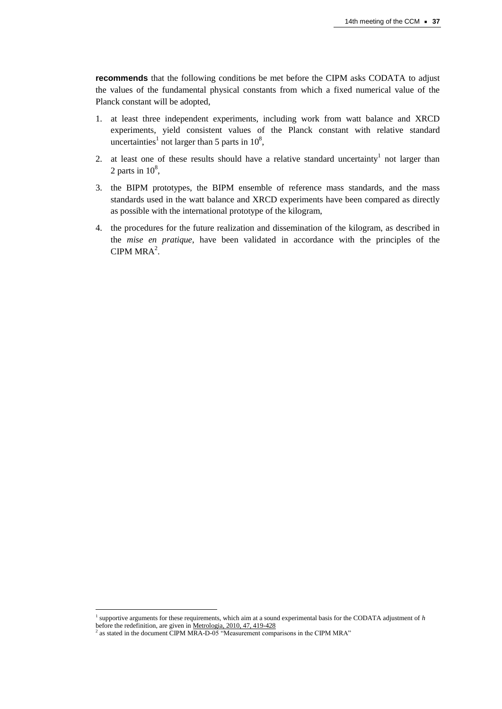**recommends** that the following conditions be met before the CIPM asks CODATA to adjust the values of the fundamental physical constants from which a fixed numerical value of the Planck constant will be adopted,

- 1. at least three independent experiments, including work from watt balance and XRCD experiments, yield consistent values of the Planck constant with relative standard uncertainties<sup>1</sup> not larger than 5 parts in  $10^8$ ,
- 2. at least one of these results should have a relative standard uncertainty not larger than 2 parts in  $10^8$ ,
- 3. the BIPM prototypes, the BIPM ensemble of reference mass standards, and the mass standards used in the watt balance and XRCD experiments have been compared as directly as possible with the international prototype of the kilogram,
- 4. the procedures for the future realization and dissemination of the kilogram, as described in the *mise en pratique*, have been validated in accordance with the principles of the CIPM  $MRA<sup>2</sup>$ .

 $\overline{\phantom{a}}$ 

<sup>1</sup> supportive arguments for these requirements, which aim at a sound experimental basis for the CODATA adjustment of *h* before the redefinition, are given i[n Metrologia, 2010, 47, 419-428](http://stacks.iop.org/0026-1394/47/419)

<sup>2</sup> as stated in the document CIPM MRA-D-05 "Measurement comparisons in the CIPM MRA"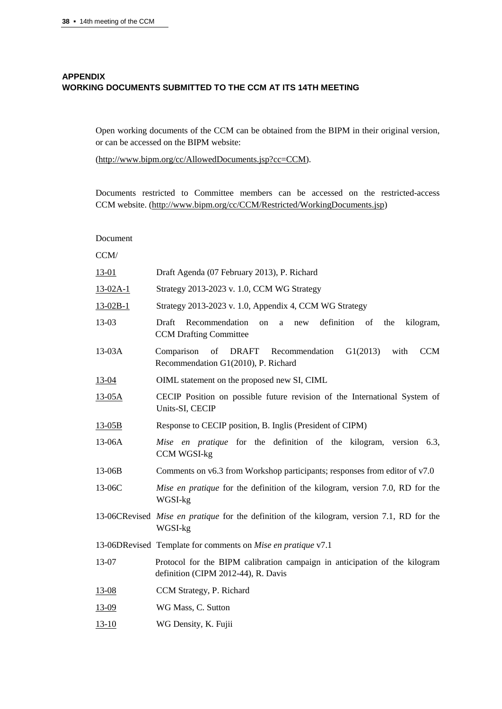Document

## **APPENDIX WORKING DOCUMENTS SUBMITTED TO THE CCM AT ITS 14TH MEETING**

Open working documents of the CCM can be obtained from the BIPM in their original version, or can be accessed on the BIPM website:

[\(http://www.bipm.org/cc/AllowedDocuments.jsp?cc=CCM\)](http://www.bipm.org/cc/AllowedDocuments.jsp?cc=CCM).

Documents restricted to Committee members can be accessed on the restricted-access CCM website. [\(http://www.bipm.org/cc/CCM/Restricted/WorkingDocuments.jsp\)](http://www.bipm.org/cc/CCM/Restricted/WorkingDocuments.jsp)

| CCM/         |                                                                                                                            |
|--------------|----------------------------------------------------------------------------------------------------------------------------|
| <u>13-01</u> | Draft Agenda (07 February 2013), P. Richard                                                                                |
| $13-02A-1$   | Strategy 2013-2023 v. 1.0, CCM WG Strategy                                                                                 |
| $13-02B-1$   | Strategy 2013-2023 v. 1.0, Appendix 4, CCM WG Strategy                                                                     |
| $13-03$      | Draft<br>Recommendation<br>definition of<br>the<br>kilogram,<br><sub>on</sub><br>a<br>new<br><b>CCM</b> Drafting Committee |
| 13-03A       | of<br>G1(2013)<br><b>CCM</b><br>Comparison<br>DRAFT<br>Recommendation<br>with<br>Recommendation G1(2010), P. Richard       |
| 13-04        | OIML statement on the proposed new SI, CIML                                                                                |
| $13-05A$     | CECIP Position on possible future revision of the International System of<br>Units-SI, CECIP                               |
| $13-05B$     | Response to CECIP position, B. Inglis (President of CIPM)                                                                  |
| 13-06A       | Mise en pratique for the definition of the kilogram, version 6.3,<br><b>CCM WGSI-kg</b>                                    |
| 13-06B       | Comments on v6.3 from Workshop participants; responses from editor of v7.0                                                 |
| 13-06C       | Mise en pratique for the definition of the kilogram, version 7.0, RD for the<br>WGSI-kg                                    |
|              | 13-06CRevised <i>Mise en pratique</i> for the definition of the kilogram, version 7.1, RD for the<br>WGSI-kg               |
|              | 13-06DRevised Template for comments on Mise en pratique v7.1                                                               |
| 13-07        | Protocol for the BIPM calibration campaign in anticipation of the kilogram<br>definition (CIPM 2012-44), R. Davis          |
| $13-08$      | CCM Strategy, P. Richard                                                                                                   |
| <u>13-09</u> | WG Mass, C. Sutton                                                                                                         |
| $13 - 10$    | WG Density, K. Fujii                                                                                                       |